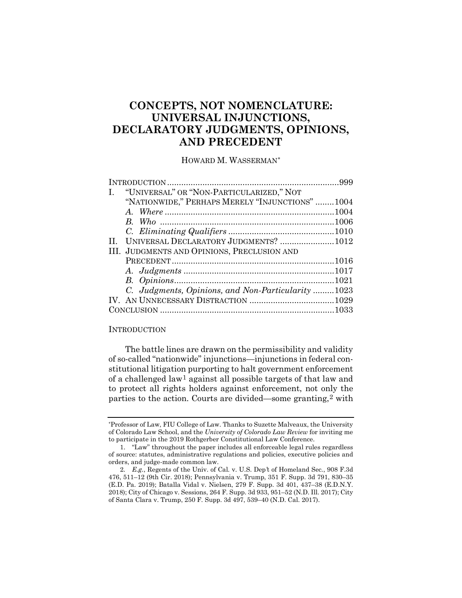# **CONCEPTS, NOT NOMENCLATURE: UNIVERSAL INJUNCTIONS, DECLARATORY JUDGMENTS, OPINIONS, AND PRECEDENT**

HOWARD M. WASSERMAN[\\*](#page-0-0)

| "UNIVERSAL" OR "NON-PARTICULARIZED," NOT<br>I.     |  |
|----------------------------------------------------|--|
| "NATIONWIDE," PERHAPS MERELY "INJUNCTIONS"1004     |  |
|                                                    |  |
|                                                    |  |
|                                                    |  |
| UNIVERSAL DECLARATORY JUDGMENTS? 1012<br>$\Pi$     |  |
| III. JUDGMENTS AND OPINIONS, PRECLUSION AND        |  |
|                                                    |  |
|                                                    |  |
|                                                    |  |
| C. Judgments, Opinions, and Non-Particularity 1023 |  |
|                                                    |  |
|                                                    |  |
|                                                    |  |

#### **INTRODUCTION**

The battle lines are drawn on the permissibility and validity of so-called "nationwide" injunctions—injunctions in federal constitutional litigation purporting to halt government enforcement of a challenged law[1](#page-0-1) against all possible targets of that law and to protect all rights holders against enforcement, not only the parties to the action. Courts are divided—some granting,[2](#page-0-2) with

<span id="page-0-0"></span><sup>\*</sup>Professor of Law, FIU College of Law. Thanks to Suzette Malveaux, the University of Colorado Law School, and the *University of Colorado Law Review* for inviting me to participate in the 2019 Rothgerber Constitutional Law Conference.

<span id="page-0-1"></span><sup>1.</sup> "Law" throughout the paper includes all enforceable legal rules regardless of source: statutes, administrative regulations and policies, executive policies and orders, and judge-made common law.

<span id="page-0-2"></span><sup>2</sup>*. E.g.*, Regents of the Univ. of Cal*.* v. U.S. Dep*'*t of Homeland Sec*.*, 908 F.3d 476, 511–12 (9th Cir. 2018); Pennsylvania v. Trump, 351 F. Supp. 3d 791, 830–35 (E.D. Pa. 2019); Batalla Vidal v. Nielsen, 279 F. Supp. 3d 401, 437–38 (E.D.N.Y. 2018); City of Chicago v. Sessions, 264 F. Supp. 3d 933, 951–52 (N.D. Ill. 2017); City of Santa Clara v. Trump, 250 F. Supp. 3d 497, 539–40 (N.D. Cal. 2017).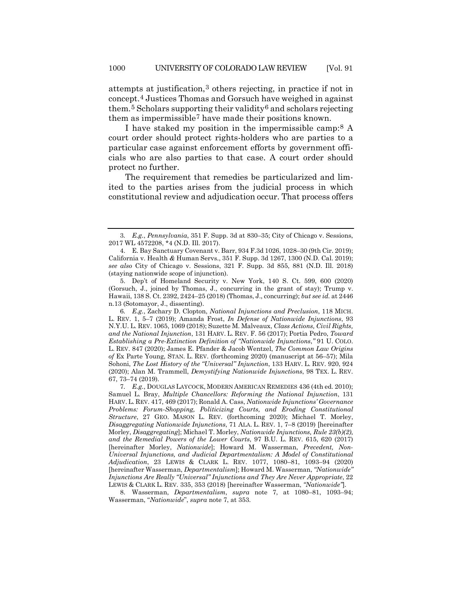<span id="page-1-7"></span>attempts at justification,[3](#page-1-1) others rejecting, in practice if not in concept.[4](#page-1-2) Justices Thomas and Gorsuch have weighed in against them.<sup>[5](#page-1-3)</sup> Scholars supporting their validity<sup>[6](#page-1-4)</sup> and scholars rejecting them as impermissible[7](#page-1-5) have made their positions known.

<span id="page-1-0"></span>I have staked my position in the impermissible camp:[8](#page-1-6) A court order should protect rights-holders who are parties to a particular case against enforcement efforts by government officials who are also parties to that case. A court order should protect no further.

The requirement that remedies be particularized and limited to the parties arises from the judicial process in which constitutional review and adjudication occur. That process offers

<span id="page-1-1"></span><sup>3</sup>*. E.g.*, *Pennsylvania*, 351 F. Supp. 3d at 830–35; City of Chicago v. Sessions, 2017 WL 4572208, \*4 (N.D. Ill. 2017).

<span id="page-1-2"></span><sup>4.</sup> E. Bay Sanctuary Covenant v. Barr, 934 F.3d 1026, 1028–30 (9th Cir. 2019); California v. Health *&* Human Servs., 351 F. Supp. 3d 1267, 1300 (N.D. Cal. 2019); *see also* City of Chicago v. Sessions, 321 F. Supp. 3d 855, 881 (N.D. Ill. 2018) (staying nationwide scope of injunction).

<span id="page-1-3"></span><sup>5.</sup> Dep't of Homeland Security v. New York, 140 S. Ct. 599, 600 (2020) (Gorsuch, J., joined by Thomas, J., concurring in the grant of stay); Trump v. Hawaii, 138 S. Ct. 2392, 2424–25 (2018) (Thomas, J., concurring); *but see id.* at 2446 n.13 (Sotomayor, J., dissenting).

<span id="page-1-4"></span><sup>6</sup>*. E.g.*, Zachary D. Clopton, *National Injunctions and Preclusion*, 118 MICH. L. REV. 1, 5–7 (2019); Amanda Frost, *In Defense of Nationwide Injunctions*, 93 N.Y.U. L. REV. 1065, 1069 (2018); Suzette M. Malveaux, *Class Actions, Civil Rights, and the National Injunction*, 131 HARV. L. REV. F. 56 (2017); Portia Pedro, *Toward Establishing a Pre-Extinction Definition of "Nationwide Injunctions*,*"* 91 U. COLO. L. REV. 847 (2020); James E. Pfander & Jacob Wentzel, *The Common Law Origins of* Ex Parte Young, STAN. L. REV. (forthcoming 2020) (manuscript at 56–57); Mila Sohoni, *The Lost History of the "Universal" Injunction*, 133 HARV. L. REV. 920, 924 (2020); Alan M. Trammell, *Demystifying Nationwide Injunctions*, 98 TEX. L. REV. 67, 73–74 (2019).

<span id="page-1-5"></span><sup>7</sup>*. E.g.*, DOUGLAS LAYCOCK, MODERN AMERICAN REMEDIES 436 (4th ed. 2010); Samuel L. Bray, *Multiple Chancellors: Reforming the National Injunction*, 131 HARV. L. REV. 417, 469 (2017); Ronald A. Cass, *Nationwide Injunctions' Governance Problems: Forum-Shopping, Politicizing Courts, and Eroding Constitutional Structure*, 27 GEO. MASON L. REV. (forthcoming 2020); Michael T. Morley, *Disaggregating Nationwide Injunctions*, 71 ALA. L. REV. 1, 7–8 (2019) [hereinafter Morley, *Disaggregating*]; Michael T. Morley, *Nationwide Injunctions, Rule 23(b)(2), and the Remedial Powers of the Lower Courts*, 97 B.U. L. REV. 615, 620 (2017) [hereinafter Morley, *Nationwide*]; Howard M. Wasserman, *Precedent, Non-Universal Injunctions, and Judicial Departmentalism: A Model of Constitutional Adjudication*, 23 LEWIS & CLARK L. REV. 1077, 1080–81, 1093–94 (2020) [hereinafter Wasserman, *Departmentalism*]; Howard M. Wasserman, *"Nationwide" Injunctions Are Really "Universal" Injunctions and They Are Never Appropriate*, 22 LEWIS & CLARK L. REV. 335, 353 (2018) [hereinafter Wasserman, *"Nationwide"*].

<span id="page-1-6"></span><sup>8.</sup> Wasserman, *Departmentalism*, *supra* note [7,](#page-1-0) at 1080–81, 1093–94; Wasserman, "*Nationwide*", *supra* note [7,](#page-1-0) at 353.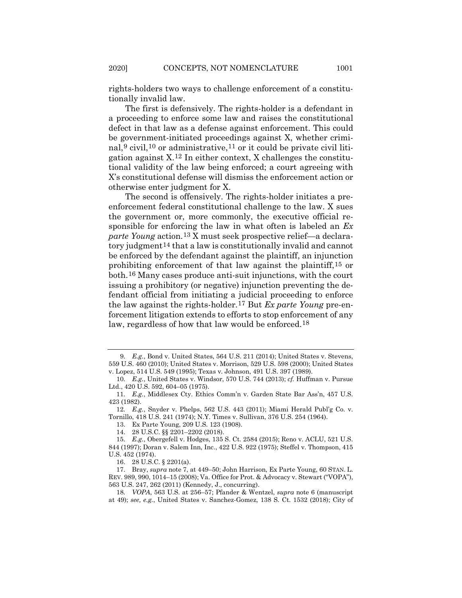rights-holders two ways to challenge enforcement of a constitutionally invalid law.

The first is defensively. The rights-holder is a defendant in a proceeding to enforce some law and raises the constitutional defect in that law as a defense against enforcement. This could be government-initiated proceedings against X, whether crimi-nal,<sup>[9](#page-2-0)</sup> civil,<sup>[10](#page-2-1)</sup> or administrative,<sup>[11](#page-2-2)</sup> or it could be private civil litigation against X.[12](#page-2-3) In either context, X challenges the constitutional validity of the law being enforced; a court agreeing with X's constitutional defense will dismiss the enforcement action or otherwise enter judgment for X.

The second is offensively. The rights-holder initiates a preenforcement federal constitutional challenge to the law. X sues the government or, more commonly, the executive official responsible for enforcing the law in what often is labeled an *Ex parte Young* action.[13](#page-2-4) X must seek prospective relief—a declaratory judgment[14](#page-2-5) that a law is constitutionally invalid and cannot be enforced by the defendant against the plaintiff, an injunction prohibiting enforcement of that law against the plaintiff,[15](#page-2-6) or both.[16](#page-2-7) Many cases produce anti-suit injunctions, with the court issuing a prohibitory (or negative) injunction preventing the defendant official from initiating a judicial proceeding to enforce the law against the rights-holder[.17](#page-2-8) But *Ex parte Young* pre-enforcement litigation extends to efforts to stop enforcement of any law, regardless of how that law would be enforced.[18](#page-2-9)

13. Ex Parte Young, 209 U.S. 123 (1908).

14. 28 U.S.C. §§ 2201–2202 (2018).

16. 28 U.S.C. § 2201(a).

<span id="page-2-0"></span><sup>9</sup>*. E.g.*, Bond v. United States, 564 U.S. 211 (2014); United States v. Stevens, 559 U.S. 460 (2010); United States v. Morrison, 529 U.S. 598 (2000); United States v. Lopez, 514 U.S. 549 (1995); Texas v. Johnson, 491 U.S. 397 (1989).

<span id="page-2-1"></span><sup>10</sup>*. E.g.*, United States v. Windsor, 570 U.S. 744 (2013); *cf.* Huffman v. Pursue Ltd., 420 U.S. 592, 604–05 (1975).

<span id="page-2-2"></span><sup>11</sup>*. E.g.*, Middlesex Cty. Ethics Comm'n v. Garden State Bar Ass'n, 457 U.S. 423 (1982).

<span id="page-2-4"></span><span id="page-2-3"></span><sup>12</sup>*. E.g.*, Snyder v. Phelps, 562 U.S. 443 (2011); Miami Herald Publ'g Co. v. Tornillo, 418 U.S. 241 (1974); N.Y. Times v. Sullivan, 376 U.S. 254 (1964).

<span id="page-2-6"></span><span id="page-2-5"></span><sup>15</sup>*. E.g.*, Obergefell v. Hodges, 135 S. Ct. 2584 (2015); Reno v. ACLU, 521 U.S. 844 (1997); Doran v. Salem Inn, Inc., 422 U.S. 922 (1975); Steffel v. Thompson, 415 U.S. 452 (1974).

<span id="page-2-8"></span><span id="page-2-7"></span><sup>17.</sup> Bray, *supra* not[e 7,](#page-1-0) at 449–50; John Harrison, Ex Parte Young, 60 STAN. L. REV. 989, 990, 1014–15 (2008); Va. Office for Prot. & Advocacy v. Stewart ("VOPA"), 563 U.S. 247, 262 (2011) (Kennedy, J., concurring).

<span id="page-2-9"></span><sup>18</sup>*. VOPA*, 563 U.S. at 256–57; Pfander & Wentzel, *supra* note [6](#page-1-7) (manuscript at 49); *see, e.g.*, United States v. Sanchez-Gomez, 138 S. Ct. 1532 (2018); City of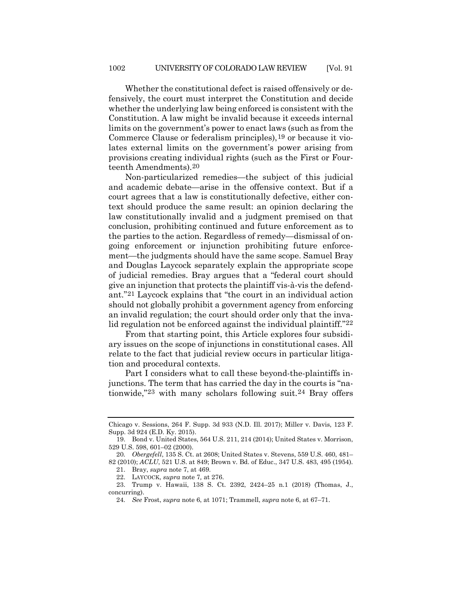Whether the constitutional defect is raised offensively or defensively, the court must interpret the Constitution and decide whether the underlying law being enforced is consistent with the Constitution. A law might be invalid because it exceeds internal limits on the government's power to enact laws (such as from the Commerce Clause or federalism principles),[19](#page-3-0) or because it violates external limits on the government's power arising from provisions creating individual rights (such as the First or Fourteenth Amendments).[20](#page-3-1)

Non-particularized remedies—the subject of this judicial and academic debate—arise in the offensive context. But if a court agrees that a law is constitutionally defective, either context should produce the same result: an opinion declaring the law constitutionally invalid and a judgment premised on that conclusion, prohibiting continued and future enforcement as to the parties to the action. Regardless of remedy—dismissal of ongoing enforcement or injunction prohibiting future enforcement—the judgments should have the same scope. Samuel Bray and Douglas Laycock separately explain the appropriate scope of judicial remedies. Bray argues that a "federal court should give an injunction that protects the plaintiff vis-à-vis the defendant."[21](#page-3-2) Laycock explains that "the court in an individual action should not globally prohibit a government agency from enforcing an invalid regulation; the court should order only that the invalid regulation not be enforced against the individual plaintiff."<sup>22</sup>

From that starting point, this Article explores four subsidiary issues on the scope of injunctions in constitutional cases. All relate to the fact that judicial review occurs in particular litigation and procedural contexts.

Part I considers what to call these beyond-the-plaintiffs injunctions. The term that has carried the day in the courts is "nationwide,"[23](#page-3-4) with many scholars following suit.[24](#page-3-5) Bray offers

Chicago v. Sessions, 264 F. Supp. 3d 933 (N.D. Ill. 2017); Miller v. Davis, 123 F. Supp. 3d 924 (E.D. Ky. 2015).

<span id="page-3-0"></span><sup>19.</sup> Bond v. United States, 564 U.S. 211, 214 (2014); United States v. Morrison, 529 U.S. 598, 601–02 (2000).

<span id="page-3-1"></span><sup>20</sup>*. Obergefell*, 135 S. Ct. at 2608; United States v. Stevens, 559 U.S. 460, 481– 82 (2010); *ACLU*, 521 U.S. at 849; Brown v. Bd. of Educ., 347 U.S. 483, 495 (1954). 21. Bray, *supra* note [7,](#page-1-0) at 469.

<sup>22.</sup> LAYCOCK, *supra* not[e 7](#page-1-0)*,* at 276.

<span id="page-3-5"></span><span id="page-3-4"></span><span id="page-3-3"></span><span id="page-3-2"></span><sup>23.</sup> Trump v. Hawaii, 138 S. Ct. 2392, 2424–25 n.1 (2018) (Thomas, J., concurring).

<sup>24</sup>*. See* Frost, *supra* not[e 6,](#page-1-7) at 1071; Trammell, *supra* note [6,](#page-1-7) at 67–71.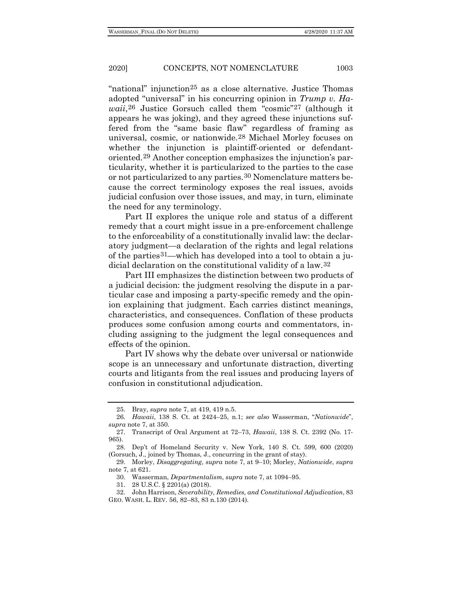"national" injunction[25](#page-4-0) as a close alternative. Justice Thomas adopted "universal" in his concurring opinion in *Trump v. Hawaii*,<sup>[26](#page-4-1)</sup> Justice Gorsuch called them "cosmic"<sup>[27](#page-4-2)</sup> (although it appears he was joking), and they agreed these injunctions suffered from the "same basic flaw" regardless of framing as universal, cosmic, or nationwide.[28](#page-4-3) Michael Morley focuses on whether the injunction is plaintiff-oriented or defendantoriented.[29](#page-4-4) Another conception emphasizes the injunction's particularity, whether it is particularized to the parties to the case or not particularized to any parties.[30](#page-4-5) Nomenclature matters because the correct terminology exposes the real issues, avoids judicial confusion over those issues, and may, in turn, eliminate the need for any terminology.

Part II explores the unique role and status of a different remedy that a court might issue in a pre-enforcement challenge to the enforceability of a constitutionally invalid law: the declaratory judgment—a declaration of the rights and legal relations of the parties[31](#page-4-6)—which has developed into a tool to obtain a judicial declaration on the constitutional validity of a law.[32](#page-4-7)

Part III emphasizes the distinction between two products of a judicial decision: the judgment resolving the dispute in a particular case and imposing a party-specific remedy and the opinion explaining that judgment. Each carries distinct meanings, characteristics, and consequences. Conflation of these products produces some confusion among courts and commentators, including assigning to the judgment the legal consequences and effects of the opinion.

Part IV shows why the debate over universal or nationwide scope is an unnecessary and unfortunate distraction, diverting courts and litigants from the real issues and producing layers of confusion in constitutional adjudication.

<span id="page-4-9"></span><span id="page-4-8"></span>

<sup>25.</sup> Bray, *supra* note [7,](#page-1-0) at 419, 419 n.5.

<span id="page-4-1"></span><span id="page-4-0"></span><sup>26</sup>*. Hawaii*, 138 S. Ct. at 2424–25, n.1; *see also* Wasserman, "*Nationwide*", *supra* note [7,](#page-1-0) at 350.

<span id="page-4-2"></span><sup>27.</sup> Transcript of Oral Argument at 72–73, *Hawaii*, 138 S. Ct. 2392 (No. 17- 965).

<span id="page-4-3"></span><sup>28.</sup> Dep't of Homeland Security v. New York, 140 S. Ct. 599, 600 (2020) (Gorsuch, J., joined by Thomas, J., concurring in the grant of stay).

<span id="page-4-5"></span><span id="page-4-4"></span><sup>29.</sup> Morley, *Disaggregating*, *supra* note [7,](#page-1-0) at 9–10; Morley, *Nationwide*, *supra* not[e 7,](#page-1-0) at 621.

<sup>30.</sup> Wasserman, *Departmentalism*, *supra* not[e 7,](#page-1-0) at 1094–95.

<sup>31.</sup> 28 U.S.C. § 2201(a) (2018).

<span id="page-4-7"></span><span id="page-4-6"></span><sup>32.</sup> John Harrison, *Severability, Remedies, and Constitutional Adjudication*, 83 GEO. WASH. L. REV. 56, 82–83, 83 n.130 (2014).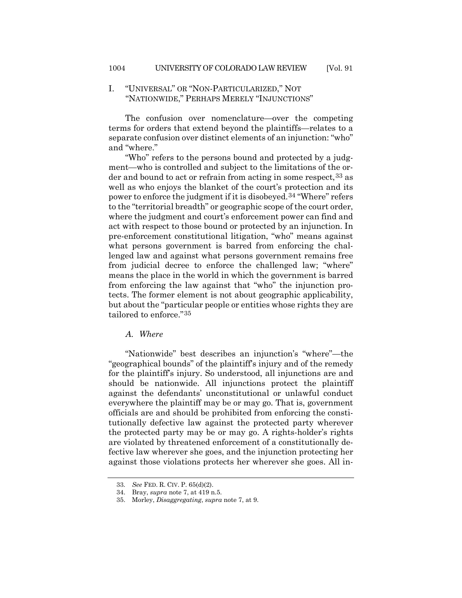# I. "UNIVERSAL" OR "NON-PARTICULARIZED," NOT "NATIONWIDE," PERHAPS MERELY "INJUNCTIONS"

The confusion over nomenclature—over the competing terms for orders that extend beyond the plaintiffs—relates to a separate confusion over distinct elements of an injunction: "who" and "where."

"Who" refers to the persons bound and protected by a judgment—who is controlled and subject to the limitations of the or-der and bound to act or refrain from acting in some respect.<sup>[33](#page-5-0)</sup> as well as who enjoys the blanket of the court's protection and its power to enforce the judgment if it is disobeyed.[34](#page-5-1) "Where" refers to the "territorial breadth" or geographic scope of the court order, where the judgment and court's enforcement power can find and act with respect to those bound or protected by an injunction. In pre-enforcement constitutional litigation, "who" means against what persons government is barred from enforcing the challenged law and against what persons government remains free from judicial decree to enforce the challenged law; "where" means the place in the world in which the government is barred from enforcing the law against that "who" the injunction protects. The former element is not about geographic applicability, but about the "particular people or entities whose rights they are tailored to enforce."[35](#page-5-2)

*A. Where*

"Nationwide" best describes an injunction's "where"—the "geographical bounds" of the plaintiff's injury and of the remedy for the plaintiff's injury. So understood, all injunctions are and should be nationwide. All injunctions protect the plaintiff against the defendants' unconstitutional or unlawful conduct everywhere the plaintiff may be or may go. That is, government officials are and should be prohibited from enforcing the constitutionally defective law against the protected party wherever the protected party may be or may go. A rights-holder's rights are violated by threatened enforcement of a constitutionally defective law wherever she goes, and the injunction protecting her against those violations protects her wherever she goes. All in-

<span id="page-5-0"></span><sup>33</sup>*. See* FED. R. CIV. P. 65(d)(2).

<span id="page-5-2"></span><span id="page-5-1"></span><sup>34.</sup> Bray, *supra* note [7,](#page-1-0) at 419 n.5.

<sup>35.</sup> Morley, *Disaggregating*, *supra* note [7,](#page-1-0) at 9.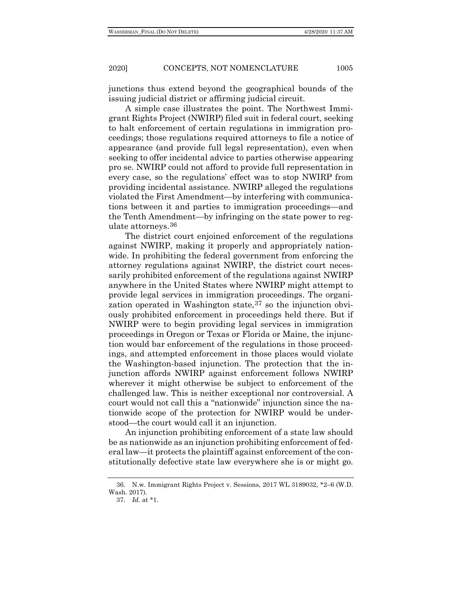junctions thus extend beyond the geographical bounds of the issuing judicial district or affirming judicial circuit.

A simple case illustrates the point. The Northwest Immigrant Rights Project (NWIRP) filed suit in federal court, seeking to halt enforcement of certain regulations in immigration proceedings; those regulations required attorneys to file a notice of appearance (and provide full legal representation), even when seeking to offer incidental advice to parties otherwise appearing pro se. NWIRP could not afford to provide full representation in every case, so the regulations' effect was to stop NWIRP from providing incidental assistance. NWIRP alleged the regulations violated the First Amendment—by interfering with communications between it and parties to immigration proceedings—and the Tenth Amendment—by infringing on the state power to regulate attorneys.[36](#page-6-0)

The district court enjoined enforcement of the regulations against NWIRP, making it properly and appropriately nationwide. In prohibiting the federal government from enforcing the attorney regulations against NWIRP, the district court necessarily prohibited enforcement of the regulations against NWIRP anywhere in the United States where NWIRP might attempt to provide legal services in immigration proceedings. The organi-zation operated in Washington state, <sup>[37](#page-6-1)</sup> so the injunction obviously prohibited enforcement in proceedings held there. But if NWIRP were to begin providing legal services in immigration proceedings in Oregon or Texas or Florida or Maine, the injunction would bar enforcement of the regulations in those proceedings, and attempted enforcement in those places would violate the Washington-based injunction. The protection that the injunction affords NWIRP against enforcement follows NWIRP wherever it might otherwise be subject to enforcement of the challenged law. This is neither exceptional nor controversial. A court would not call this a "nationwide" injunction since the nationwide scope of the protection for NWIRP would be understood—the court would call it an injunction.

An injunction prohibiting enforcement of a state law should be as nationwide as an injunction prohibiting enforcement of federal law—it protects the plaintiff against enforcement of the constitutionally defective state law everywhere she is or might go.

<span id="page-6-1"></span><span id="page-6-0"></span><sup>36.</sup> N.w. Immigrant Rights Project v. Sessions, 2017 WL 3189032, \*2–6 (W.D. Wash. 2017).

<sup>37</sup>*. Id.* at \*1.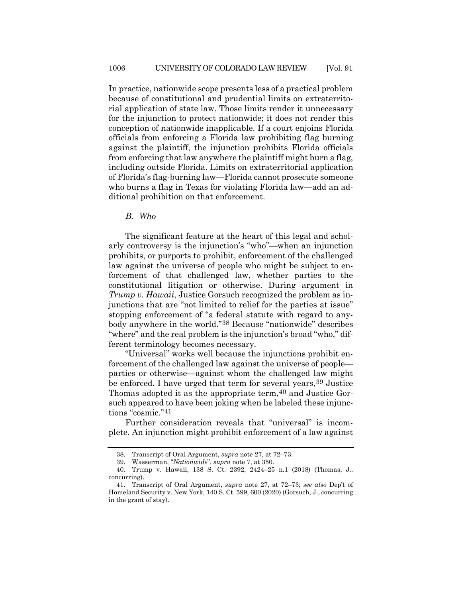In practice, nationwide scope presents less of a practical problem because of constitutional and prudential limits on extraterritorial application of state law. Those limits render it unnecessary for the injunction to protect nationwide; it does not render this conception of nationwide inapplicable. If a court enjoins Florida officials from enforcing a Florida law prohibiting flag burning against the plaintiff, the injunction prohibits Florida officials from enforcing that law anywhere the plaintiff might burn a flag, including outside Florida. Limits on extraterritorial application of Florida's flag-burning law—Florida cannot prosecute someone who burns a flag in Texas for violating Florida law—add an additional prohibition on that enforcement.

*B. Who*

The significant feature at the heart of this legal and scholarly controversy is the injunction's "who"—when an injunction prohibits, or purports to prohibit, enforcement of the challenged law against the universe of people who might be subject to enforcement of that challenged law, whether parties to the constitutional litigation or otherwise. During argument in *Trump v. Hawaii*, Justice Gorsuch recognized the problem as injunctions that are "not limited to relief for the parties at issue" stopping enforcement of "a federal statute with regard to anybody anywhere in the world.["38](#page-7-0) Because "nationwide" describes "where" and the real problem is the injunction's broad "who," different terminology becomes necessary.

"Universal" works well because the injunctions prohibit enforcement of the challenged law against the universe of people parties or otherwise—against whom the challenged law might be enforced. I have urged that term for several years, <sup>[39](#page-7-1)</sup> Justice Thomas adopted it as the appropriate term, [40](#page-7-2) and Justice Gorsuch appeared to have been joking when he labeled these injunctions "cosmic."[41](#page-7-3)

Further consideration reveals that "universal" is incomplete. An injunction might prohibit enforcement of a law against

<sup>38.</sup> Transcript of Oral Argument, *supra* not[e 27,](#page-4-8) at 72–73.

<sup>39.</sup> Wasserman, "*Nationwide*", *supra* note [7,](#page-1-0) at 350.

<span id="page-7-2"></span><span id="page-7-1"></span><span id="page-7-0"></span><sup>40.</sup> Trump v. Hawaii, 138 S. Ct. 2392, 2424–25 n.1 (2018) (Thomas, J., concurring).

<span id="page-7-3"></span><sup>41.</sup> Transcript of Oral Argument, *supra* note [27,](#page-4-8) at 72–73; *see also* Dep't of Homeland Security v. New York, 140 S. Ct. 599, 600 (2020) (Gorsuch, J., concurring in the grant of stay).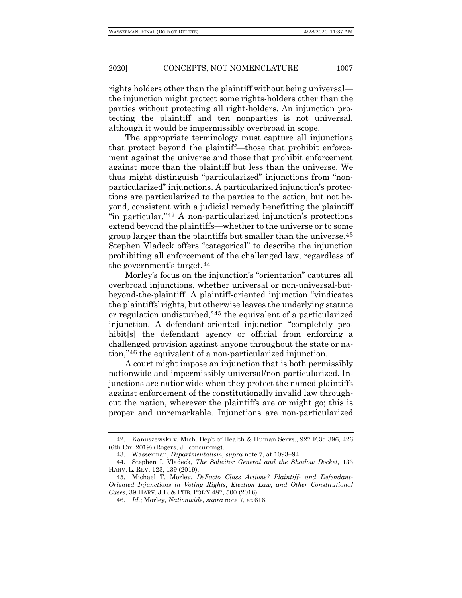rights holders other than the plaintiff without being universal the injunction might protect some rights-holders other than the parties without protecting all right-holders. An injunction protecting the plaintiff and ten nonparties is not universal, although it would be impermissibly overbroad in scope.

The appropriate terminology must capture all injunctions that protect beyond the plaintiff—those that prohibit enforcement against the universe and those that prohibit enforcement against more than the plaintiff but less than the universe. We thus might distinguish "particularized" injunctions from "nonparticularized" injunctions. A particularized injunction's protections are particularized to the parties to the action, but not beyond, consistent with a judicial remedy benefitting the plaintiff "in particular."[42](#page-8-0) A non-particularized injunction's protections extend beyond the plaintiffs—whether to the universe or to some group larger than the plaintiffs but smaller than the universe[.43](#page-8-1) Stephen Vladeck offers "categorical" to describe the injunction prohibiting all enforcement of the challenged law, regardless of the government's target.[44](#page-8-2)

Morley's focus on the injunction's "orientation" captures all overbroad injunctions, whether universal or non-universal-butbeyond-the-plaintiff. A plaintiff-oriented injunction "vindicates the plaintiffs' rights, but otherwise leaves the underlying statute or regulation undisturbed,"[45](#page-8-3) the equivalent of a particularized injunction. A defendant-oriented injunction "completely prohibit[s] the defendant agency or official from enforcing a challenged provision against anyone throughout the state or nation,"[46](#page-8-4) the equivalent of a non-particularized injunction.

A court might impose an injunction that is both permissibly nationwide and impermissibly universal/non-particularized. Injunctions are nationwide when they protect the named plaintiffs against enforcement of the constitutionally invalid law throughout the nation, wherever the plaintiffs are or might go; this is proper and unremarkable. Injunctions are non-particularized

<span id="page-8-0"></span><sup>42.</sup> Kanuszewski v. Mich. Dep't of Health & Human Servs., 927 F.3d 396, 426 (6th Cir. 2019) (Rogers, J., concurring).

<sup>43.</sup> Wasserman, *Departmentalism*, *supra* not[e 7,](#page-1-0) at 1093–94.

<span id="page-8-2"></span><span id="page-8-1"></span><sup>44.</sup> Stephen I. Vladeck, *The Solicitor General and the Shadow Docket*, 133 HARV. L. REV. 123, 139 (2019).

<span id="page-8-4"></span><span id="page-8-3"></span><sup>45.</sup> Michael T. Morley, *DeFacto Class Actions? Plaintiff- and Defendant-Oriented Injunctions in Voting Rights, Election Law, and Other Constitutional Cases*, 39 HARV. J.L. & PUB. POL'Y 487, 500 (2016).

<sup>46</sup>*. Id.*; Morley, *Nationwide*, *supra* not[e 7,](#page-1-0) at 616.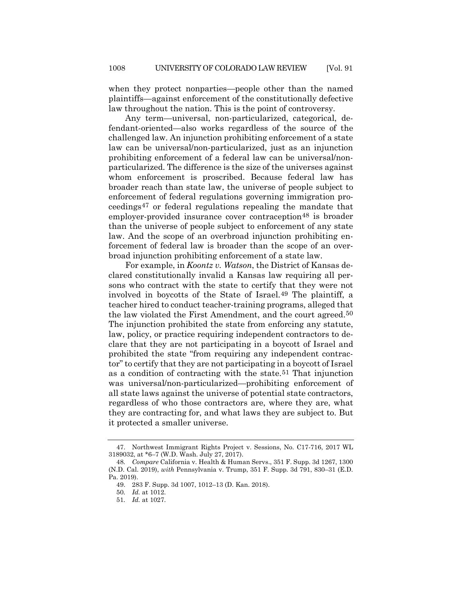when they protect nonparties—people other than the named plaintiffs—against enforcement of the constitutionally defective law throughout the nation. This is the point of controversy.

Any term—universal, non-particularized, categorical, defendant-oriented—also works regardless of the source of the challenged law. An injunction prohibiting enforcement of a state law can be universal/non-particularized, just as an injunction prohibiting enforcement of a federal law can be universal/nonparticularized. The difference is the size of the universes against whom enforcement is proscribed. Because federal law has broader reach than state law, the universe of people subject to enforcement of federal regulations governing immigration proceedings[47](#page-9-0) or federal regulations repealing the mandate that employer-provided insurance cover contraception<sup>[48](#page-9-1)</sup> is broader than the universe of people subject to enforcement of any state law. And the scope of an overbroad injunction prohibiting enforcement of federal law is broader than the scope of an overbroad injunction prohibiting enforcement of a state law.

For example, in *Koontz v. Watson*, the District of Kansas declared constitutionally invalid a Kansas law requiring all persons who contract with the state to certify that they were not involved in boycotts of the State of Israel.[49](#page-9-2) The plaintiff, a teacher hired to conduct teacher-training programs, alleged that the law violated the First Amendment, and the court agreed[.50](#page-9-3) The injunction prohibited the state from enforcing any statute, law, policy, or practice requiring independent contractors to declare that they are not participating in a boycott of Israel and prohibited the state "from requiring any independent contractor" to certify that they are not participating in a boycott of Israel as a condition of contracting with the state.[51](#page-9-4) That injunction was universal/non-particularized—prohibiting enforcement of all state laws against the universe of potential state contractors, regardless of who those contractors are, where they are, what they are contracting for, and what laws they are subject to. But it protected a smaller universe.

<span id="page-9-0"></span><sup>47.</sup> Northwest Immigrant Rights Project v. Sessions, No. C17-716, 2017 WL 3189032, at \*6–7 (W.D. Wash. July 27, 2017).

<span id="page-9-4"></span><span id="page-9-3"></span><span id="page-9-2"></span><span id="page-9-1"></span><sup>48</sup>*. Compare* California v. Health & Human Servs., 351 F. Supp. 3d 1267, 1300 (N.D. Cal. 2019), *with* Pennsylvania v. Trump, 351 F. Supp. 3d 791, 830–31 (E.D. Pa. 2019).

<sup>49.</sup> 283 F. Supp. 3d 1007, 1012–13 (D. Kan. 2018).

<sup>50</sup>*. Id.* at 1012.

<sup>51</sup>*. Id.* at 1027.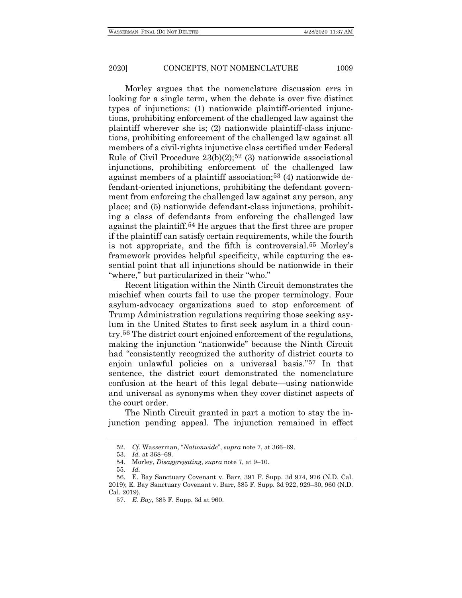Morley argues that the nomenclature discussion errs in looking for a single term, when the debate is over five distinct types of injunctions: (1) nationwide plaintiff-oriented injunctions, prohibiting enforcement of the challenged law against the plaintiff wherever she is; (2) nationwide plaintiff-class injunctions, prohibiting enforcement of the challenged law against all members of a civil-rights injunctive class certified under Federal Rule of Civil Procedure  $23(b)(2)$ ;<sup>[52](#page-10-0)</sup> (3) nationwide associational injunctions, prohibiting enforcement of the challenged law against members of a plaintiff association;[53](#page-10-1) (4) nationwide defendant-oriented injunctions, prohibiting the defendant government from enforcing the challenged law against any person, any place; and (5) nationwide defendant-class injunctions, prohibiting a class of defendants from enforcing the challenged law against the plaintiff.[54](#page-10-2) He argues that the first three are proper if the plaintiff can satisfy certain requirements, while the fourth is not appropriate, and the fifth is controversial.[55](#page-10-3) Morley's framework provides helpful specificity, while capturing the essential point that all injunctions should be nationwide in their "where," but particularized in their "who."

Recent litigation within the Ninth Circuit demonstrates the mischief when courts fail to use the proper terminology. Four asylum-advocacy organizations sued to stop enforcement of Trump Administration regulations requiring those seeking asylum in the United States to first seek asylum in a third country.[56](#page-10-4) The district court enjoined enforcement of the regulations, making the injunction "nationwide" because the Ninth Circuit had "consistently recognized the authority of district courts to enjoin unlawful policies on a universal basis."[57](#page-10-5) In that sentence, the district court demonstrated the nomenclature confusion at the heart of this legal debate—using nationwide and universal as synonyms when they cover distinct aspects of the court order.

The Ninth Circuit granted in part a motion to stay the injunction pending appeal. The injunction remained in effect

<sup>52</sup>*. Cf.* Wasserman, "*Nationwide*", *supra* note [7,](#page-1-0) at 366–69.

<sup>53</sup>*. Id.* at 368–69.

<sup>54.</sup> Morley, *Disaggregating*, *supra* note [7,](#page-1-0) at 9–10.

<sup>55</sup>*. Id.*

<span id="page-10-5"></span><span id="page-10-4"></span><span id="page-10-3"></span><span id="page-10-2"></span><span id="page-10-1"></span><span id="page-10-0"></span><sup>56.</sup> E. Bay Sanctuary Covenant v. Barr, 391 F. Supp. 3d 974, 976 (N.D. Cal. 2019); E. Bay Sanctuary Covenant v. Barr, 385 F. Supp. 3d 922, 929–30, 960 (N.D. Cal. 2019).

<sup>57</sup>*. E. Bay*, 385 F. Supp. 3d at 960.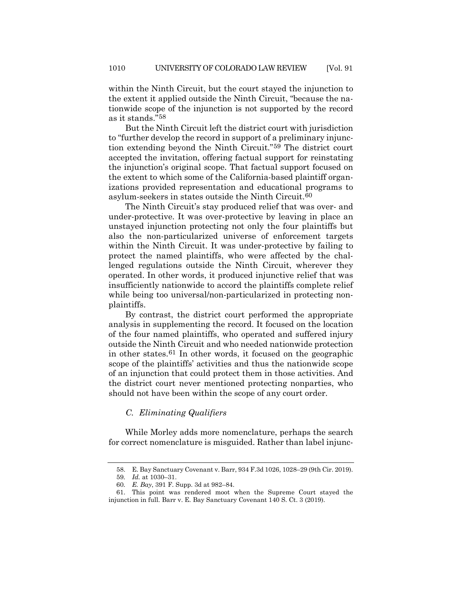within the Ninth Circuit, but the court stayed the injunction to the extent it applied outside the Ninth Circuit, "because the nationwide scope of the injunction is not supported by the record as it stands.["58](#page-11-0)

But the Ninth Circuit left the district court with jurisdiction to "further develop the record in support of a preliminary injunction extending beyond the Ninth Circuit."[59](#page-11-1) The district court accepted the invitation, offering factual support for reinstating the injunction's original scope. That factual support focused on the extent to which some of the California-based plaintiff organizations provided representation and educational programs to asylum-seekers in states outside the Ninth Circuit[.60](#page-11-2)

The Ninth Circuit's stay produced relief that was over- and under-protective. It was over-protective by leaving in place an unstayed injunction protecting not only the four plaintiffs but also the non-particularized universe of enforcement targets within the Ninth Circuit. It was under-protective by failing to protect the named plaintiffs, who were affected by the challenged regulations outside the Ninth Circuit, wherever they operated. In other words, it produced injunctive relief that was insufficiently nationwide to accord the plaintiffs complete relief while being too universal/non-particularized in protecting nonplaintiffs.

By contrast, the district court performed the appropriate analysis in supplementing the record. It focused on the location of the four named plaintiffs, who operated and suffered injury outside the Ninth Circuit and who needed nationwide protection in other states.[61](#page-11-3) In other words, it focused on the geographic scope of the plaintiffs' activities and thus the nationwide scope of an injunction that could protect them in those activities. And the district court never mentioned protecting nonparties, who should not have been within the scope of any court order.

# *C. Eliminating Qualifiers*

While Morley adds more nomenclature, perhaps the search for correct nomenclature is misguided. Rather than label injunc-

<sup>58.</sup> E. Bay Sanctuary Covenant v. Barr, 934 F.3d 1026, 1028–29 (9th Cir. 2019).

<sup>59</sup>*. Id.* at 1030–31.

<sup>60</sup>*. E. Bay*, 391 F. Supp. 3d at 982–84.

<span id="page-11-3"></span><span id="page-11-2"></span><span id="page-11-1"></span><span id="page-11-0"></span><sup>61.</sup> This point was rendered moot when the Supreme Court stayed the injunction in full. Barr v. E. Bay Sanctuary Covenant 140 S. Ct. 3 (2019).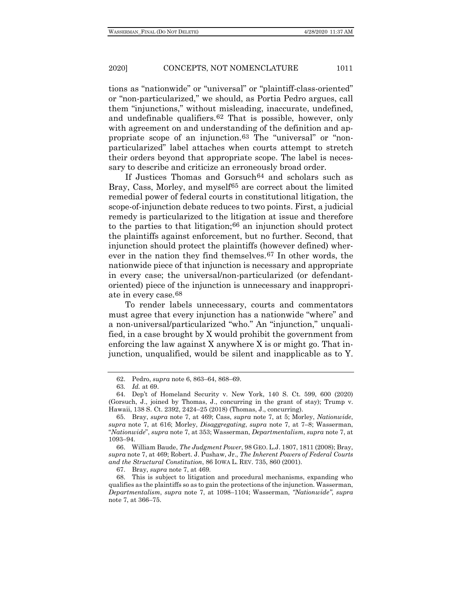tions as "nationwide" or "universal" or "plaintiff-class-oriented" or "non-particularized," we should, as Portia Pedro argues, call them "injunctions," without misleading, inaccurate, undefined, and undefinable qualifiers.[62](#page-12-0) That is possible, however, only with agreement on and understanding of the definition and appropriate scope of an injunction.[63](#page-12-1) The "universal" or "nonparticularized" label attaches when courts attempt to stretch their orders beyond that appropriate scope. The label is necessary to describe and criticize an erroneously broad order.

<span id="page-12-7"></span>If Justices Thomas and Gorsuch<sup>64</sup> and scholars such as Bray, Cass, Morley, and myself<sup>[65](#page-12-3)</sup> are correct about the limited remedial power of federal courts in constitutional litigation, the scope-of-injunction debate reduces to two points. First, a judicial remedy is particularized to the litigation at issue and therefore to the parties to that litigation;[66](#page-12-4) an injunction should protect the plaintiffs against enforcement, but no further. Second, that injunction should protect the plaintiffs (however defined) wherever in the nation they find themselves.[67](#page-12-5) In other words, the nationwide piece of that injunction is necessary and appropriate in every case; the universal/non-particularized (or defendantoriented) piece of the injunction is unnecessary and inappropriate in every case.[68](#page-12-6)

To render labels unnecessary, courts and commentators must agree that every injunction has a nationwide "where" and a non-universal/particularized "who." An "injunction," unqualified, in a case brought by X would prohibit the government from enforcing the law against X anywhere X is or might go. That injunction, unqualified, would be silent and inapplicable as to Y.

<sup>62.</sup> Pedro, *supra* note [6,](#page-1-7) 863–64, 868–69.

<sup>63</sup>*. Id.* at 69.

<span id="page-12-2"></span><span id="page-12-1"></span><span id="page-12-0"></span><sup>64.</sup> Dep't of Homeland Security v. New York, 140 S. Ct. 599, 600 (2020) (Gorsuch, J., joined by Thomas, J., concurring in the grant of stay); Trump v. Hawaii, 138 S. Ct. 2392, 2424–25 (2018) (Thomas, J., concurring).

<span id="page-12-3"></span><sup>65.</sup> Bray, *supra* note [7,](#page-1-0) at 469; Cass, *supra* note [7,](#page-1-0) at 5; Morley, *Nationwide*, *supra* note [7,](#page-1-0) at 616; Morley, *Disaggregating*, *supra* note [7,](#page-1-0) at 7–8; Wasserman, "*Nationwide*", *supra* not[e 7,](#page-1-0) at 353; Wasserman, *Departmentalism*, *supra* not[e 7,](#page-1-0) at 1093–94.

<span id="page-12-4"></span><sup>66.</sup> William Baude, *The Judgment Power*, 98 GEO. L.J. 1807, 1811 (2008); Bray, *supra* note [7,](#page-1-0) at 469; Robert. J. Pushaw, Jr., *The Inherent Powers of Federal Courts and the Structural Constitution*, 86 IOWA L. REV. 735, 860 (2001).

<sup>67.</sup> Bray, *supra* note [7,](#page-1-0) at 469.

<span id="page-12-6"></span><span id="page-12-5"></span><sup>68.</sup> This is subject to litigation and procedural mechanisms, expanding who qualifies as the plaintiffs so as to gain the protections of the injunction. Wasserman, *Departmentalism*, *supra* note [7,](#page-1-0) at 1098–1104; Wasserman, *"Nationwide"*, *supra* not[e 7,](#page-1-0) at 366–75.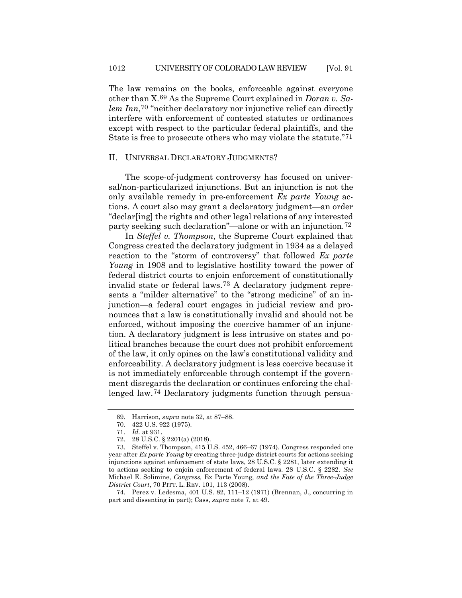The law remains on the books, enforceable against everyone other than X.[69](#page-13-0) As the Supreme Court explained in *Doran v. Salem Inn*,[70](#page-13-1) "neither declaratory nor injunctive relief can directly interfere with enforcement of contested statutes or ordinances except with respect to the particular federal plaintiffs, and the State is free to prosecute others who may violate the statute."[71](#page-13-2)

#### II. UNIVERSAL DECLARATORY JUDGMENTS?

The scope-of-judgment controversy has focused on universal/non-particularized injunctions. But an injunction is not the only available remedy in pre-enforcement *Ex parte Young* actions. A court also may grant a declaratory judgment—an order "declar[ing] the rights and other legal relations of any interested party seeking such declaration"—alone or with an injunction.[72](#page-13-3)

In *Steffel v. Thompson*, the Supreme Court explained that Congress created the declaratory judgment in 1934 as a delayed reaction to the "storm of controversy" that followed *Ex parte Young* in 1908 and to legislative hostility toward the power of federal district courts to enjoin enforcement of constitutionally invalid state or federal laws[.73](#page-13-4) A declaratory judgment represents a "milder alternative" to the "strong medicine" of an injunction—a federal court engages in judicial review and pronounces that a law is constitutionally invalid and should not be enforced, without imposing the coercive hammer of an injunction. A declaratory judgment is less intrusive on states and political branches because the court does not prohibit enforcement of the law, it only opines on the law's constitutional validity and enforceability. A declaratory judgment is less coercive because it is not immediately enforceable through contempt if the government disregards the declaration or continues enforcing the challenged law.[74](#page-13-5) Declaratory judgments function through persua-

<sup>69.</sup> Harrison, *supra* note [32,](#page-4-9) at 87–88.

<sup>70.</sup> 422 U.S. 922 (1975).

<sup>71</sup>*. Id.* at 931.

<sup>72.</sup> 28 U.S.C. § 2201(a) (2018).

<span id="page-13-4"></span><span id="page-13-3"></span><span id="page-13-2"></span><span id="page-13-1"></span><span id="page-13-0"></span><sup>73.</sup> Steffel v. Thompson, 415 U.S. 452, 466–67 (1974). Congress responded one year after *Ex parte Young* by creating three-judge district courts for actions seeking injunctions against enforcement of state laws, 28 U.S.C. § 2281, later extending it to actions seeking to enjoin enforcement of federal laws. 28 U.S.C. § 2282. *See* Michael E. Solimine, *Congress,* Ex Parte Young*, and the Fate of the Three-Judge District Court*, 70 PITT. L. REV. 101, 113 (2008).

<span id="page-13-5"></span><sup>74.</sup> Perez v. Ledesma, 401 U.S. 82, 111–12 (1971) (Brennan, J., concurring in part and dissenting in part); Cass, *supra* note [7,](#page-1-0) at 49.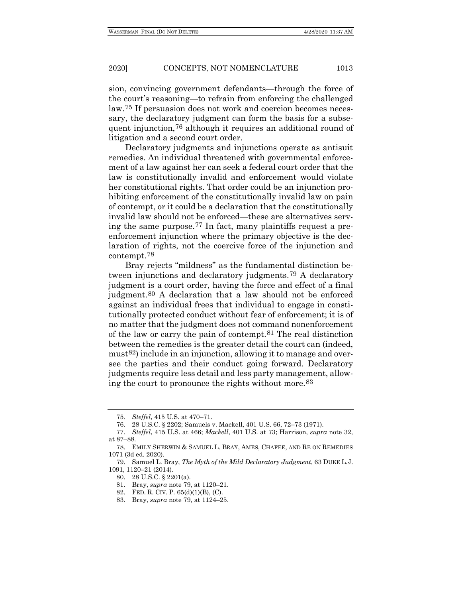sion, convincing government defendants—through the force of the court's reasoning—to refrain from enforcing the challenged law.[75](#page-14-1) If persuasion does not work and coercion becomes necessary, the declaratory judgment can form the basis for a subsequent injunction[,76](#page-14-2) although it requires an additional round of litigation and a second court order.

Declaratory judgments and injunctions operate as antisuit remedies. An individual threatened with governmental enforcement of a law against her can seek a federal court order that the law is constitutionally invalid and enforcement would violate her constitutional rights. That order could be an injunction prohibiting enforcement of the constitutionally invalid law on pain of contempt, or it could be a declaration that the constitutionally invalid law should not be enforced—these are alternatives serving the same purpose.[77](#page-14-3) In fact, many plaintiffs request a preenforcement injunction where the primary objective is the declaration of rights, not the coercive force of the injunction and contempt.[78](#page-14-4)

<span id="page-14-0"></span>Bray rejects "mildness" as the fundamental distinction between injunctions and declaratory judgments.[79](#page-14-5) A declaratory judgment is a court order, having the force and effect of a final judgment.[80](#page-14-6) A declaration that a law should not be enforced against an individual frees that individual to engage in constitutionally protected conduct without fear of enforcement; it is of no matter that the judgment does not command nonenforcement of the law or carry the pain of contempt.[81](#page-14-7) The real distinction between the remedies is the greater detail the court can (indeed, mus[t82](#page-14-8)) include in an injunction, allowing it to manage and oversee the parties and their conduct going forward. Declaratory judgments require less detail and less party management, allowing the court to pronounce the rights without more.[83](#page-14-9)

<sup>75</sup>*. Steffel*, 415 U.S. at 470–71.

<sup>76.</sup> 28 U.S.C. § 2202; Samuels v. Mackell, 401 U.S. 66, 72–73 (1971).

<span id="page-14-3"></span><span id="page-14-2"></span><span id="page-14-1"></span><sup>77</sup>*. Steffel*, 415 U.S. at 466; *Mackell*, 401 U.S. at 73; Harrison, *supra* note [32,](#page-4-9)  at 87–88.

<span id="page-14-4"></span><sup>78.</sup> EMILY SHERWIN & SAMUEL L. BRAY, AMES, CHAFEE, AND RE ON REMEDIES 1071 (3d ed. 2020).

<span id="page-14-9"></span><span id="page-14-8"></span><span id="page-14-7"></span><span id="page-14-6"></span><span id="page-14-5"></span><sup>79.</sup> Samuel L. Bray, *The Myth of the Mild Declaratory Judgment*, 63 DUKE L.J. 1091, 1120–21 (2014).

<sup>80.</sup> 28 U.S.C. § 2201(a).

<sup>81.</sup> Bray, *supra* note [79,](#page-14-0) at 1120–21.

<sup>82.</sup> FED. R. CIV. P. 65(d)(1)(B), (C).

<sup>83.</sup> Bray, *supra* note [79,](#page-14-0) at 1124–25.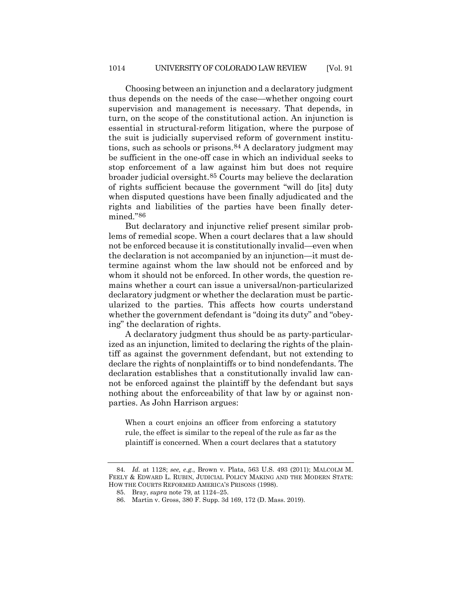Choosing between an injunction and a declaratory judgment thus depends on the needs of the case—whether ongoing court supervision and management is necessary. That depends, in turn, on the scope of the constitutional action. An injunction is essential in structural-reform litigation, where the purpose of the suit is judicially supervised reform of government institutions, such as schools or prisons.[84](#page-15-0) A declaratory judgment may be sufficient in the one-off case in which an individual seeks to stop enforcement of a law against him but does not require broader judicial oversight.[85](#page-15-1) Courts may believe the declaration of rights sufficient because the government "will do [its] duty when disputed questions have been finally adjudicated and the rights and liabilities of the parties have been finally determined."[86](#page-15-2)

But declaratory and injunctive relief present similar problems of remedial scope. When a court declares that a law should not be enforced because it is constitutionally invalid—even when the declaration is not accompanied by an injunction—it must determine against whom the law should not be enforced and by whom it should not be enforced. In other words, the question remains whether a court can issue a universal/non-particularized declaratory judgment or whether the declaration must be particularized to the parties. This affects how courts understand whether the government defendant is "doing its duty" and "obeying" the declaration of rights.

A declaratory judgment thus should be as party-particularized as an injunction, limited to declaring the rights of the plaintiff as against the government defendant, but not extending to declare the rights of nonplaintiffs or to bind nondefendants. The declaration establishes that a constitutionally invalid law cannot be enforced against the plaintiff by the defendant but says nothing about the enforceability of that law by or against nonparties. As John Harrison argues:

When a court enjoins an officer from enforcing a statutory rule, the effect is similar to the repeal of the rule as far as the plaintiff is concerned. When a court declares that a statutory

<span id="page-15-2"></span><span id="page-15-1"></span><span id="page-15-0"></span><sup>84</sup>*. Id.* at 1128; *see, e.g.*, Brown v. Plata, 563 U.S. 493 (2011); MALCOLM M. FEELY & EDWARD L. RUBIN, JUDICIAL POLICY MAKING AND THE MODERN STATE: HOW THE COURTS REFORMED AMERICA'S PRISONS (1998).

<sup>85.</sup> Bray, *supra* note [79,](#page-14-0) at 1124–25.

<sup>86.</sup> Martin v. Gross, 380 F. Supp. 3d 169, 172 (D. Mass. 2019).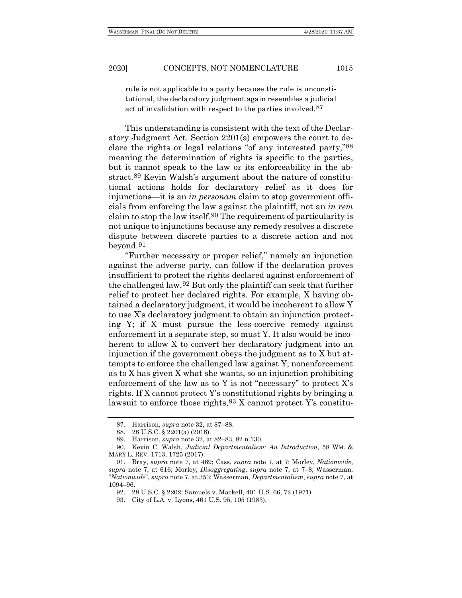rule is not applicable to a party because the rule is unconstitutional, the declaratory judgment again resembles a judicial act of invalidation with respect to the parties involved.[87](#page-16-0)

This understanding is consistent with the text of the Declaratory Judgment Act. Section 2201(a) empowers the court to declare the rights or legal relations "of any interested party,["88](#page-16-1) meaning the determination of rights is specific to the parties, but it cannot speak to the law or its enforceability in the abstract.[89](#page-16-2) Kevin Walsh's argument about the nature of constitutional actions holds for declaratory relief as it does for injunctions—it is an *in personam* claim to stop government officials from enforcing the law against the plaintiff, not an *in rem* claim to stop the law itself.[90](#page-16-3) The requirement of particularity is not unique to injunctions because any remedy resolves a discrete dispute between discrete parties to a discrete action and not beyond.[91](#page-16-4)

<span id="page-16-7"></span>"Further necessary or proper relief," namely an injunction against the adverse party, can follow if the declaration proves insufficient to protect the rights declared against enforcement of the challenged law.[92](#page-16-5) But only the plaintiff can seek that further relief to protect her declared rights. For example, X having obtained a declaratory judgment, it would be incoherent to allow Y to use X's declaratory judgment to obtain an injunction protecting Y; if X must pursue the less-coercive remedy against enforcement in a separate step, so must Y. It also would be incoherent to allow X to convert her declaratory judgment into an injunction if the government obeys the judgment as to X but attempts to enforce the challenged law against Y; nonenforcement as to X has given X what she wants, so an injunction prohibiting enforcement of the law as to Y is not "necessary" to protect  $X$ 's rights. If X cannot protect Y's constitutional rights by bringing a lawsuit to enforce those rights,[93](#page-16-6) X cannot protect Y's constitu-

<sup>87.</sup> Harrison, *supra* note [32,](#page-4-9) at 87–88.

<sup>88.</sup> 28 U.S.C. § 2201(a) (2018).

<sup>89.</sup> Harrison, *supra* note [32,](#page-4-9) at 82–83, 82 n.130.

<span id="page-16-3"></span><span id="page-16-2"></span><span id="page-16-1"></span><span id="page-16-0"></span><sup>90.</sup> Kevin C. Walsh, *Judicial Departmentalism: An Introduction*, 58 WM. & MARY L. REV. 1713, 1725 (2017).

<span id="page-16-6"></span><span id="page-16-5"></span><span id="page-16-4"></span><sup>91.</sup> Bray, *supra* note [7,](#page-1-0) at 469; Cass, *supra* note [7,](#page-1-0) at 7; Morley, *Nationwide*, *supra* note [7,](#page-1-0) at 616; Morley, *Disaggregating*, *supra* note [7,](#page-1-0) at 7–8; Wasserman, "*Nationwide*", *supra* not[e 7,](#page-1-0) at 353; Wasserman, *Departmentalism*, *supra* not[e 7,](#page-1-0) at 1094–96.

<sup>92.</sup> 28 U.S.C. § 2202; Samuels v. Mackell, 401 U.S. 66, 72 (1971).

<sup>93.</sup> City of L.A. v. Lyons, 461 U.S. 95, 105 (1983).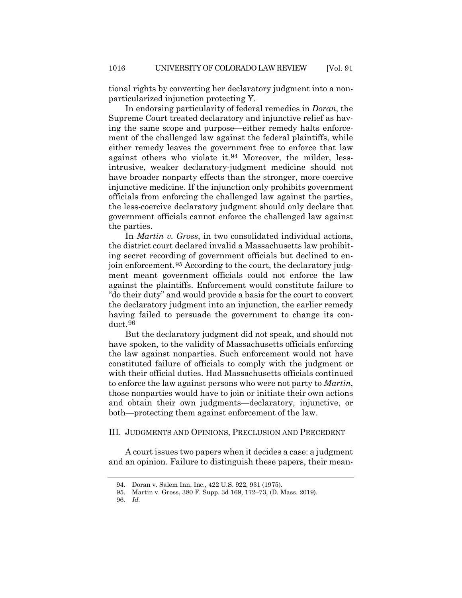tional rights by converting her declaratory judgment into a nonparticularized injunction protecting Y.

In endorsing particularity of federal remedies in *Doran*, the Supreme Court treated declaratory and injunctive relief as having the same scope and purpose—either remedy halts enforcement of the challenged law against the federal plaintiffs, while either remedy leaves the government free to enforce that law against others who violate it.[94](#page-17-0) Moreover, the milder, lessintrusive, weaker declaratory-judgment medicine should not have broader nonparty effects than the stronger, more coercive injunctive medicine. If the injunction only prohibits government officials from enforcing the challenged law against the parties, the less-coercive declaratory judgment should only declare that government officials cannot enforce the challenged law against the parties.

In *Martin v. Gross*, in two consolidated individual actions, the district court declared invalid a Massachusetts law prohibiting secret recording of government officials but declined to enjoin enforcement.[95](#page-17-1) According to the court, the declaratory judgment meant government officials could not enforce the law against the plaintiffs. Enforcement would constitute failure to "do their duty" and would provide a basis for the court to convert the declaratory judgment into an injunction, the earlier remedy having failed to persuade the government to change its conduct.[96](#page-17-2)

But the declaratory judgment did not speak, and should not have spoken, to the validity of Massachusetts officials enforcing the law against nonparties. Such enforcement would not have constituted failure of officials to comply with the judgment or with their official duties. Had Massachusetts officials continued to enforce the law against persons who were not party to *Martin*, those nonparties would have to join or initiate their own actions and obtain their own judgments—declaratory, injunctive, or both—protecting them against enforcement of the law.

### III. JUDGMENTS AND OPINIONS, PRECLUSION AND PRECEDENT

<span id="page-17-0"></span>A court issues two papers when it decides a case: a judgment and an opinion. Failure to distinguish these papers, their mean-

<sup>94.</sup> Doran v. Salem Inn, Inc., 422 U.S. 922, 931 (1975).

<span id="page-17-2"></span><span id="page-17-1"></span><sup>95.</sup> Martin v. Gross, 380 F. Supp. 3d 169, 172–73, (D. Mass. 2019).

<sup>96</sup>*. Id.*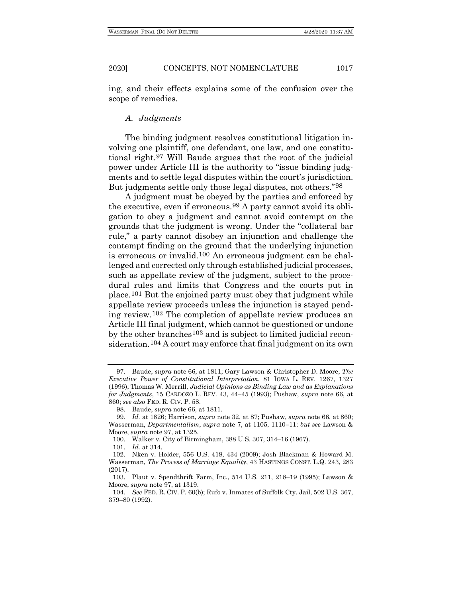ing, and their effects explains some of the confusion over the scope of remedies.

# <span id="page-18-0"></span>*A. Judgments*

The binding judgment resolves constitutional litigation involving one plaintiff, one defendant, one law, and one constitutional right.[97](#page-18-1) Will Baude argues that the root of the judicial power under Article III is the authority to "issue binding judgments and to settle legal disputes within the court's jurisdiction. But judgments settle only those legal disputes, not others.["98](#page-18-2)

A judgment must be obeyed by the parties and enforced by the executive, even if erroneous.[99](#page-18-3) A party cannot avoid its obligation to obey a judgment and cannot avoid contempt on the grounds that the judgment is wrong. Under the "collateral bar rule," a party cannot disobey an injunction and challenge the contempt finding on the ground that the underlying injunction is erroneous or invalid.[100](#page-18-4) An erroneous judgment can be challenged and corrected only through established judicial processes, such as appellate review of the judgment, subject to the procedural rules and limits that Congress and the courts put in place.[101](#page-18-5) But the enjoined party must obey that judgment while appellate review proceeds unless the injunction is stayed pending review.[102](#page-18-6) The completion of appellate review produces an Article III final judgment, which cannot be questioned or undone by the other branches[103](#page-18-7) and is subject to limited judicial reconsideration.[104](#page-18-8) A court may enforce that final judgment on its own

<span id="page-18-9"></span><span id="page-18-1"></span><sup>97.</sup> Baude, *supra* not[e 66,](#page-12-7) at 1811; Gary Lawson & Christopher D. Moore, *The Executive Power of Constitutional Interpretation*, 81 IOWA L. REV. 1267, 1327 (1996); Thomas W. Merrill, *Judicial Opinions as Binding Law and as Explanations for Judgments*, 15 CARDOZO L. REV. 43, 44–45 (1993); Pushaw, *supra* note [66,](#page-12-7) at 860; *see also* FED. R. CIV. P. 58.

<sup>98.</sup> Baude, *supra* note [66,](#page-12-7) at 1811.

<span id="page-18-3"></span><span id="page-18-2"></span><sup>99</sup>*. Id.* at 1826; Harrison, *supra* note [32,](#page-4-9) at 87; Pushaw, *supra* not[e 66,](#page-12-7) at 860; Wasserman, *Departmentalism*, *supra* note [7,](#page-1-0) at 1105, 1110–11; *but see* Lawson & Moore, *supra* not[e 97,](#page-18-0) at 1325.

<sup>100.</sup> Walker v. City of Birmingham, 388 U.S. 307, 314–16 (1967).

<sup>101</sup>*. Id.* at 314.

<span id="page-18-6"></span><span id="page-18-5"></span><span id="page-18-4"></span><sup>102.</sup> Nken v. Holder, 556 U.S. 418, 434 (2009); Josh Blackman & Howard M. Wasserman, *The Process of Marriage Equality*, 43 HASTINGS CONST. L.Q. 243, 283 (2017).

<span id="page-18-7"></span><sup>103.</sup> Plaut v. Spendthrift Farm, Inc., 514 U.S. 211, 218–19 (1995); Lawson & Moore, *supra* not[e 97,](#page-18-0) at 1319.

<span id="page-18-8"></span><sup>104</sup>*. See* FED. R. CIV. P. 60(b); Rufo v. Inmates of Suffolk Cty. Jail, 502 U.S. 367, 379–80 (1992).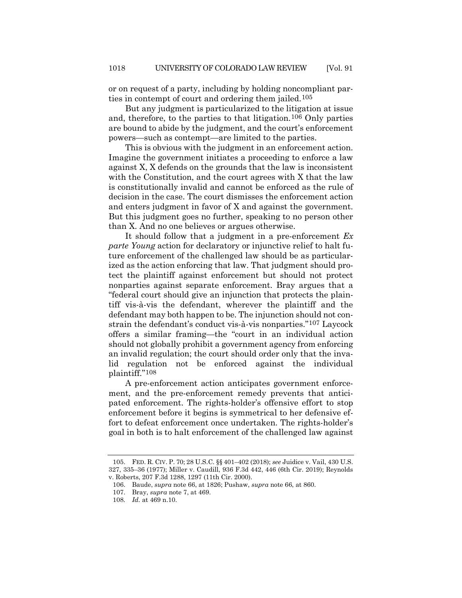or on request of a party, including by holding noncompliant parties in contempt of court and ordering them jailed.[105](#page-19-0)

But any judgment is particularized to the litigation at issue and, therefore, to the parties to that litigation.[106](#page-19-1) Only parties are bound to abide by the judgment, and the court's enforcement powers—such as contempt—are limited to the parties.

This is obvious with the judgment in an enforcement action. Imagine the government initiates a proceeding to enforce a law against X, X defends on the grounds that the law is inconsistent with the Constitution, and the court agrees with X that the law is constitutionally invalid and cannot be enforced as the rule of decision in the case. The court dismisses the enforcement action and enters judgment in favor of X and against the government. But this judgment goes no further, speaking to no person other than X. And no one believes or argues otherwise.

It should follow that a judgment in a pre-enforcement *Ex parte Young* action for declaratory or injunctive relief to halt future enforcement of the challenged law should be as particularized as the action enforcing that law. That judgment should protect the plaintiff against enforcement but should not protect nonparties against separate enforcement. Bray argues that a "federal court should give an injunction that protects the plaintiff vis-à-vis the defendant, wherever the plaintiff and the defendant may both happen to be. The injunction should not constrain the defendant's conduct vis-à-vis nonparties.["107](#page-19-2) Laycock offers a similar framing—the "court in an individual action should not globally prohibit a government agency from enforcing an invalid regulation; the court should order only that the invalid regulation not be enforced against the individual plaintiff."[108](#page-19-3)

A pre-enforcement action anticipates government enforcement, and the pre-enforcement remedy prevents that anticipated enforcement. The rights-holder's offensive effort to stop enforcement before it begins is symmetrical to her defensive effort to defeat enforcement once undertaken. The rights-holder's goal in both is to halt enforcement of the challenged law against

<span id="page-19-2"></span><span id="page-19-1"></span><span id="page-19-0"></span><sup>105.</sup> FED. R. CIV. P. 70; 28 U.S.C. §§ 401–402 (2018); *see* Juidice v. Vail, 430 U.S. 327, 335–36 (1977); Miller v. Caudill, 936 F.3d 442, 446 (6th Cir. 2019); Reynolds v. Roberts, 207 F.3d 1288, 1297 (11th Cir. 2000).

<sup>106.</sup> Baude, *supra* note [66,](#page-12-7) at 1826; Pushaw, *supra* not[e 66,](#page-12-7) at 860.

<sup>107.</sup> Bray, *supra* note [7,](#page-1-0) at 469.

<span id="page-19-3"></span><sup>108</sup>*. Id.* at 469 n.10.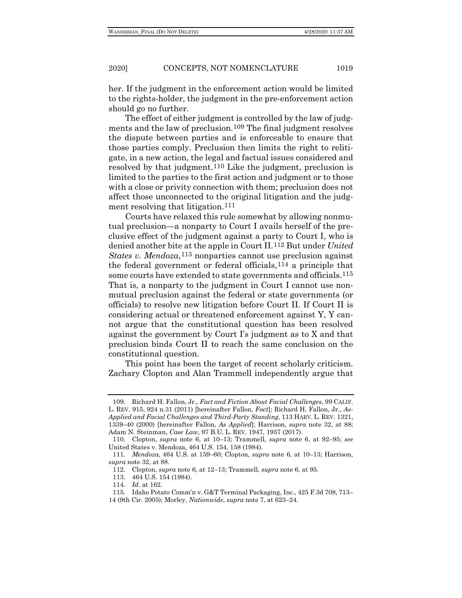<span id="page-20-7"></span>

her. If the judgment in the enforcement action would be limited to the rights-holder, the judgment in the pre-enforcement action should go no further.

The effect of either judgment is controlled by the law of judgments and the law of preclusion.[109](#page-20-0) The final judgment resolves the dispute between parties and is enforceable to ensure that those parties comply. Preclusion then limits the right to relitigate, in a new action, the legal and factual issues considered and resolved by that judgment.[110](#page-20-1) Like the judgment, preclusion is limited to the parties to the first action and judgment or to those with a close or privity connection with them; preclusion does not affect those unconnected to the original litigation and the judgment resolving that litigation.<sup>111</sup>

Courts have relaxed this rule somewhat by allowing nonmutual preclusion—a nonparty to Court I avails herself of the preclusive effect of the judgment against a party to Court I, who is denied another bite at the apple in Court II.[112](#page-20-3) But under *United States v. Mendoza*,<sup>[113](#page-20-4)</sup> nonparties cannot use preclusion against the federal government or federal officials,  $^{114}$  $^{114}$  $^{114}$  a principle that some courts have extended to state governments and officials.[115](#page-20-6) That is, a nonparty to the judgment in Court I cannot use nonmutual preclusion against the federal or state governments (or officials) to resolve new litigation before Court II. If Court II is considering actual or threatened enforcement against Y, Y cannot argue that the constitutional question has been resolved against the government by Court I's judgment as to X and that preclusion binds Court II to reach the same conclusion on the constitutional question.

This point has been the target of recent scholarly criticism. Zachary Clopton and Alan Trammell independently argue that

<span id="page-20-0"></span><sup>109.</sup> Richard H. Fallon, Jr., *Fact and Fiction About Facial Challenges*, 99 CALIF. L. REV. 915, 924 n.31 (2011) [hereinafter Fallon, *Fact*]; Richard H. Fallon, Jr., *As-Applied and Facial Challenges and Third-Party Standing*, 113 HARV. L. REV. 1321, 1339–40 (2000) [hereinafter Fallon, *As Applied*]; Harrison, *supra* note [32,](#page-4-9) at 88; Adam N. Steinman, *Case Law*, 97 B.U. L. REV. 1947, 1957 (2017).

<span id="page-20-1"></span><sup>110.</sup> Clopton, *supra* note [6,](#page-1-7) at 10–13; Trammell, *supra* note [6,](#page-1-7) at 92–95; *see* United States v. Mendoza, 464 U.S. 154, 158 (1984).

<span id="page-20-4"></span><span id="page-20-3"></span><span id="page-20-2"></span><sup>111</sup>*. Mendoza*, 464 U.S. at 159–60; Clopton, *supra* note [6,](#page-1-7) at 10–13; Harrison, *supra* note [32,](#page-4-9) at 88.

<sup>112.</sup> Clopton, *supra* not[e 6,](#page-1-7) at 12–13; Trammell, *supra* not[e 6,](#page-1-7) at 95.

<sup>113.</sup> 464 U.S. 154 (1984).

<sup>114</sup>*. Id.* at 162.

<sup>115.</sup> Idaho Potato Comm'n v. G&T Terminal Packaging, Inc., 425 F.3d 708, 713–

<span id="page-20-6"></span><span id="page-20-5"></span><sup>14 (9</sup>th Cir. 2005); Morley, *Nationwide*, *supra* not[e 7,](#page-1-0) at 623–24.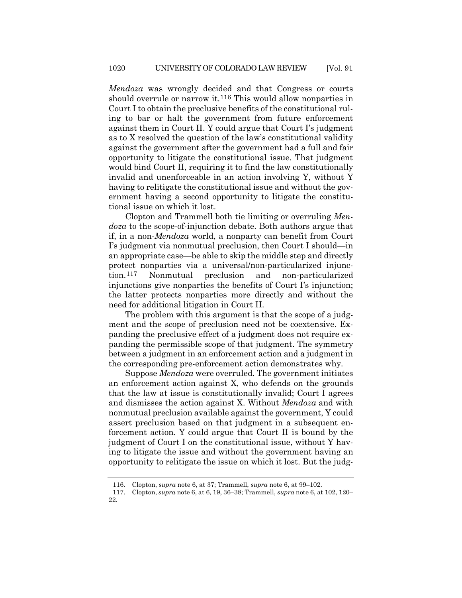*Mendoza* was wrongly decided and that Congress or courts should overrule or narrow it.[116](#page-21-0) This would allow nonparties in Court I to obtain the preclusive benefits of the constitutional ruling to bar or halt the government from future enforcement against them in Court II. Y could argue that Court I's judgment as to X resolved the question of the law's constitutional validity against the government after the government had a full and fair opportunity to litigate the constitutional issue. That judgment would bind Court II, requiring it to find the law constitutionally invalid and unenforceable in an action involving Y, without Y having to relitigate the constitutional issue and without the government having a second opportunity to litigate the constitutional issue on which it lost.

Clopton and Trammell both tie limiting or overruling *Mendoza* to the scope-of-injunction debate. Both authors argue that if, in a non-*Mendoza* world, a nonparty can benefit from Court I's judgment via nonmutual preclusion, then Court I should—in an appropriate case—be able to skip the middle step and directly protect nonparties via a universal/non-particularized injunction.[117](#page-21-1) Nonmutual preclusion and non-particularized injunctions give nonparties the benefits of Court I's injunction; the latter protects nonparties more directly and without the need for additional litigation in Court II.

The problem with this argument is that the scope of a judgment and the scope of preclusion need not be coextensive. Expanding the preclusive effect of a judgment does not require expanding the permissible scope of that judgment. The symmetry between a judgment in an enforcement action and a judgment in the corresponding pre-enforcement action demonstrates why.

Suppose *Mendoza* were overruled. The government initiates an enforcement action against X, who defends on the grounds that the law at issue is constitutionally invalid; Court I agrees and dismisses the action against X. Without *Mendoza* and with nonmutual preclusion available against the government, Y could assert preclusion based on that judgment in a subsequent enforcement action. Y could argue that Court II is bound by the judgment of Court I on the constitutional issue, without Y having to litigate the issue and without the government having an opportunity to relitigate the issue on which it lost. But the judg-

<sup>116.</sup> Clopton, *supra* not[e 6,](#page-1-7) at 37; Trammell, *supra* not[e 6,](#page-1-7) at 99–102.

<span id="page-21-1"></span><span id="page-21-0"></span><sup>117.</sup> Clopton, *supra* note [6,](#page-1-7) at 6, 19, 36–38; Trammell, *supra* not[e 6,](#page-1-7) at 102, 120– 22.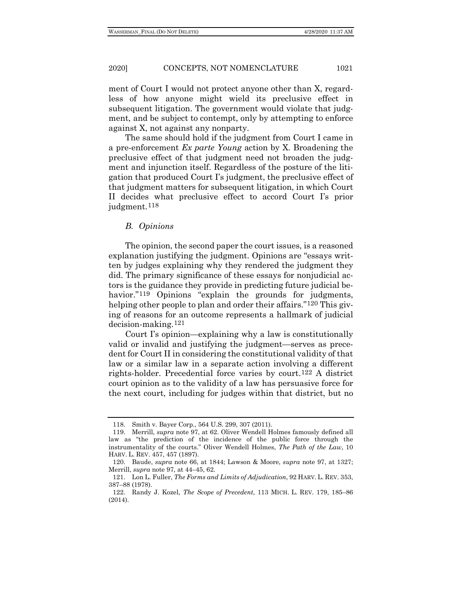ment of Court I would not protect anyone other than X, regardless of how anyone might wield its preclusive effect in subsequent litigation. The government would violate that judgment, and be subject to contempt, only by attempting to enforce against X, not against any nonparty.

The same should hold if the judgment from Court I came in a pre-enforcement *Ex parte Young* action by X. Broadening the preclusive effect of that judgment need not broaden the judgment and injunction itself. Regardless of the posture of the litigation that produced Court I's judgment, the preclusive effect of that judgment matters for subsequent litigation, in which Court II decides what preclusive effect to accord Court I's prior judgment.[118](#page-22-0)

# *B. Opinions*

The opinion, the second paper the court issues, is a reasoned explanation justifying the judgment. Opinions are "essays written by judges explaining why they rendered the judgment they did. The primary significance of these essays for nonjudicial actors is the guidance they provide in predicting future judicial behavior."<sup>119</sup> Opinions "explain the grounds for judgments, helping other people to plan and order their affairs."<sup>[120](#page-22-2)</sup> This giving of reasons for an outcome represents a hallmark of judicial decision-making.[121](#page-22-3)

Court I's opinion—explaining why a law is constitutionally valid or invalid and justifying the judgment—serves as precedent for Court II in considering the constitutional validity of that law or a similar law in a separate action involving a different rights-holder. Precedential force varies by court.[122](#page-22-4) A district court opinion as to the validity of a law has persuasive force for the next court, including for judges within that district, but no

<sup>118.</sup> Smith v. Bayer Corp., 564 U.S. 299, 307 (2011).

<span id="page-22-1"></span><span id="page-22-0"></span><sup>119.</sup> Merrill, *supra* note [97,](#page-18-0) at 62. Oliver Wendell Holmes famously defined all law as "the prediction of the incidence of the public force through the instrumentality of the courts." Oliver Wendell Holmes, *The Path of the Law*, 10 HARV. L. REV. 457, 457 (1897).

<span id="page-22-2"></span><sup>120.</sup> Baude, *supra* note [66,](#page-12-7) at 1844; Lawson & Moore, *supra* note [97,](#page-18-0) at 1327; Merrill, *supra* note [97,](#page-18-0) at 44–45, 62.

<span id="page-22-3"></span><sup>121.</sup> Lon L. Fuller, *The Forms and Limits of Adjudication*, 92 HARV. L. REV. 353, 387–88 (1978).

<span id="page-22-4"></span><sup>122.</sup> Randy J. Kozel, *The Scope of Precedent*, 113 MICH. L. REV. 179, 185–86 (2014).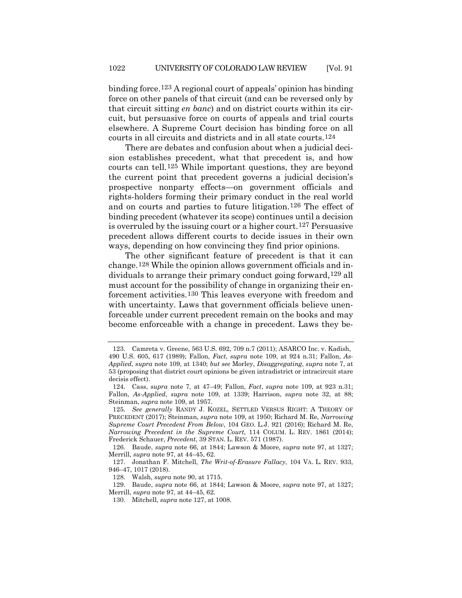binding force.[123](#page-23-1) A regional court of appeals' opinion has binding force on other panels of that circuit (and can be reversed only by that circuit sitting *en banc*) and on district courts within its circuit, but persuasive force on courts of appeals and trial courts elsewhere. A Supreme Court decision has binding force on all courts in all circuits and districts and in all state courts.[124](#page-23-2)

There are debates and confusion about when a judicial decision establishes precedent, what that precedent is, and how courts can tell.[125](#page-23-3) While important questions, they are beyond the current point that precedent governs a judicial decision's prospective nonparty effects—on government officials and rights-holders forming their primary conduct in the real world and on courts and parties to future litigation.[126](#page-23-4) The effect of binding precedent (whatever its scope) continues until a decision is overruled by the issuing court or a higher court.[127](#page-23-5) Persuasive precedent allows different courts to decide issues in their own ways, depending on how convincing they find prior opinions.

<span id="page-23-0"></span>The other significant feature of precedent is that it can change.[128](#page-23-6) While the opinion allows government officials and individuals to arrange their primary conduct going forward,[129](#page-23-7) all must account for the possibility of change in organizing their enforcement activities.[130](#page-23-8) This leaves everyone with freedom and with uncertainty. Laws that government officials believe unenforceable under current precedent remain on the books and may become enforceable with a change in precedent. Laws they be-

<span id="page-23-1"></span><sup>123.</sup> Camreta v. Greene, 563 U.S. 692, 709 n.7 (2011); ASARCO Inc. v. Kadish, 490 U.S. 605, 617 (1989); Fallon, *Fact*, *supra* note [109,](#page-20-7) at 924 n.31; Fallon, *As-Applied*, *supra* note [109,](#page-20-7) at 1340; *but see* Morley, *Disaggregating*, *supra* note [7,](#page-1-0) at 53 (proposing that district court opinions be given intradistrict or intracircuit stare decisis effect).

<span id="page-23-2"></span><sup>124.</sup> Cass, *supra* note [7,](#page-1-0) at 47–49; Fallon, *Fact*, *supra* note [109,](#page-20-7) at 923 n.31; Fallon, *As-Applied*, *supra* note [109,](#page-20-7) at 1339; Harrison, *supra* note [32,](#page-4-9) at 88; Steinman, *supra* note [109,](#page-20-7) at 1957.

<span id="page-23-3"></span><sup>125</sup>*. See generally* RANDY J. KOZEL, SETTLED VERSUS RIGHT: A THEORY OF PRECEDENT (2017); Steinman, *supra* note [109,](#page-20-7) at 1950; Richard M. Re, *Narrowing Supreme Court Precedent From Below*, 104 GEO. L.J. 921 (2016); Richard M. Re, *Narrowing Precedent in the Supreme Court*, 114 COLUM. L. REV. 1861 (2014); Frederick Schauer, *Precedent*, 39 STAN. L. REV. 571 (1987).

<span id="page-23-4"></span><sup>126.</sup> Baude, *supra* note [66,](#page-12-7) at 1844; Lawson & Moore, *supra* note [97,](#page-18-0) at 1327; Merrill, *supra* note [97,](#page-18-0) at 44–45, 62.

<span id="page-23-5"></span><sup>127.</sup> Jonathan F. Mitchell, *The Writ-of-Erasure Fallacy*, 104 VA. L. REV. 933, 946–47, 1017 (2018).

<sup>128.</sup> Walsh, *supra* note [90,](#page-16-7) at 1715.

<span id="page-23-8"></span><span id="page-23-7"></span><span id="page-23-6"></span><sup>129.</sup> Baude, *supra* note [66,](#page-12-7) at 1844; Lawson & Moore, *supra* note [97,](#page-18-0) at 1327; Merrill, *supra* note [97,](#page-18-0) at 44–45, 62.

<sup>130.</sup> Mitchell, *supra* not[e 127,](#page-23-0) at 1008.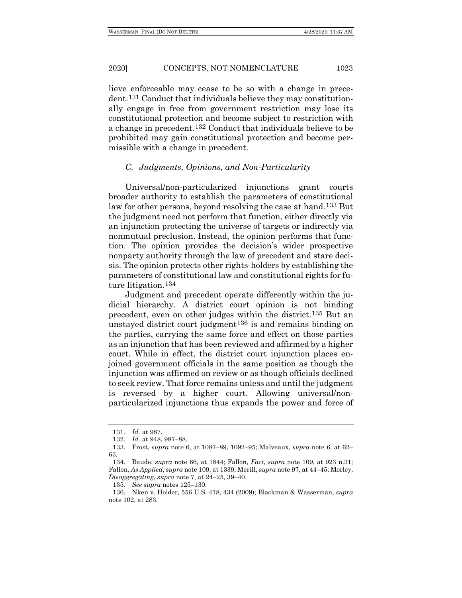lieve enforceable may cease to be so with a change in precedent.[131](#page-24-0) Conduct that individuals believe they may constitutionally engage in free from government restriction may lose its constitutional protection and become subject to restriction with a change in precedent[.132](#page-24-1) Conduct that individuals believe to be prohibited may gain constitutional protection and become permissible with a change in precedent.

# *C. Judgments, Opinions, and Non-Particularity*

Universal/non-particularized injunctions grant courts broader authority to establish the parameters of constitutional law for other persons, beyond resolving the case at hand.[133](#page-24-2) But the judgment need not perform that function, either directly via an injunction protecting the universe of targets or indirectly via nonmutual preclusion. Instead, the opinion performs that function. The opinion provides the decision's wider prospective nonparty authority through the law of precedent and stare decisis. The opinion protects other rights-holders by establishing the parameters of constitutional law and constitutional rights for future litigation.[134](#page-24-3)

Judgment and precedent operate differently within the judicial hierarchy. A district court opinion is not binding precedent, even on other judges within the district.[135](#page-24-4) But an unstayed district court judgment<sup>[136](#page-24-5)</sup> is and remains binding on the parties, carrying the same force and effect on those parties as an injunction that has been reviewed and affirmed by a higher court. While in effect, the district court injunction places enjoined government officials in the same position as though the injunction was affirmed on review or as though officials declined to seek review. That force remains unless and until the judgment is reversed by a higher court. Allowing universal/nonparticularized injunctions thus expands the power and force of

<sup>131</sup>*. Id.* at 987.

<sup>132</sup>*. Id.* at 948, 987–88.

<span id="page-24-2"></span><span id="page-24-1"></span><span id="page-24-0"></span><sup>133.</sup> Frost, *supra* note [6,](#page-1-7) at 1087–89, 1092–95; Malveaux, *supra* note [6,](#page-1-7) at 62– 63.

<span id="page-24-3"></span><sup>134.</sup> Baude, *supra* note [66,](#page-12-7) at 1844; Fallon, *Fact*, *supra* note [109,](#page-20-7) at 923 n.31; Fallon, *As Applied*, *supra* not[e 109,](#page-20-7) at 1339; Merill, *supra* not[e 97,](#page-18-0) at 44–45; Morley, *Disaggregating*, *supra* not[e 7,](#page-1-0) at 24–25, 39–40.

<sup>135</sup>*. See supra* notes 125–130.

<span id="page-24-5"></span><span id="page-24-4"></span><sup>136.</sup> Nken v. Holder, 556 U.S. 418, 434 (2009); Blackman & Wasserman, *supra* not[e 102,](#page-18-9) at 283.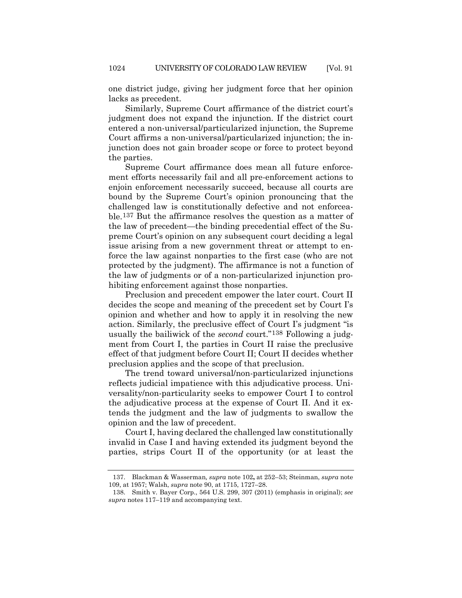one district judge, giving her judgment force that her opinion lacks as precedent.

Similarly, Supreme Court affirmance of the district court's judgment does not expand the injunction. If the district court entered a non-universal/particularized injunction, the Supreme Court affirms a non-universal/particularized injunction; the injunction does not gain broader scope or force to protect beyond the parties.

Supreme Court affirmance does mean all future enforcement efforts necessarily fail and all pre-enforcement actions to enjoin enforcement necessarily succeed, because all courts are bound by the Supreme Court's opinion pronouncing that the challenged law is constitutionally defective and not enforceable.[137](#page-25-0) But the affirmance resolves the question as a matter of the law of precedent—the binding precedential effect of the Supreme Court's opinion on any subsequent court deciding a legal issue arising from a new government threat or attempt to enforce the law against nonparties to the first case (who are not protected by the judgment). The affirmance is not a function of the law of judgments or of a non-particularized injunction prohibiting enforcement against those nonparties.

Preclusion and precedent empower the later court. Court II decides the scope and meaning of the precedent set by Court I's opinion and whether and how to apply it in resolving the new action. Similarly, the preclusive effect of Court I's judgment "is usually the bailiwick of the *second* court."[138](#page-25-1) Following a judgment from Court I, the parties in Court II raise the preclusive effect of that judgment before Court II; Court II decides whether preclusion applies and the scope of that preclusion.

The trend toward universal/non-particularized injunctions reflects judicial impatience with this adjudicative process. Universality/non-particularity seeks to empower Court I to control the adjudicative process at the expense of Court II. And it extends the judgment and the law of judgments to swallow the opinion and the law of precedent.

Court I, having declared the challenged law constitutionally invalid in Case I and having extended its judgment beyond the parties, strips Court II of the opportunity (or at least the

<span id="page-25-0"></span><sup>137.</sup> Blackman & Wasserman*, supra* not[e 102](#page-18-9)**,** at 252–53; Steinman, *supra* note [109,](#page-20-7) at 1957; Walsh, *supra* not[e 90,](#page-16-7) at 1715, 1727–28.

<span id="page-25-1"></span><sup>138.</sup> Smith v. Bayer Corp., 564 U.S. 299, 307 (2011) (emphasis in original); *see supra* notes 117–119 and accompanying text.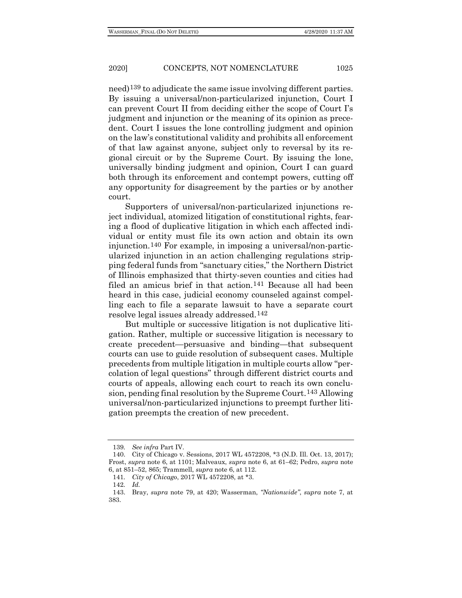need)[139](#page-26-0) to adjudicate the same issue involving different parties. By issuing a universal/non-particularized injunction, Court I can prevent Court II from deciding either the scope of Court I's judgment and injunction or the meaning of its opinion as precedent. Court I issues the lone controlling judgment and opinion on the law's constitutional validity and prohibits all enforcement of that law against anyone, subject only to reversal by its regional circuit or by the Supreme Court. By issuing the lone, universally binding judgment and opinion, Court I can guard both through its enforcement and contempt powers, cutting off any opportunity for disagreement by the parties or by another court.

Supporters of universal/non-particularized injunctions reject individual, atomized litigation of constitutional rights, fearing a flood of duplicative litigation in which each affected individual or entity must file its own action and obtain its own injunction.[140](#page-26-1) For example, in imposing a universal/non-particularized injunction in an action challenging regulations stripping federal funds from "sanctuary cities," the Northern District of Illinois emphasized that thirty-seven counties and cities had filed an amicus brief in that action.<sup>[141](#page-26-2)</sup> Because all had been heard in this case, judicial economy counseled against compelling each to file a separate lawsuit to have a separate court resolve legal issues already addressed[.142](#page-26-3)

But multiple or successive litigation is not duplicative litigation. Rather, multiple or successive litigation is necessary to create precedent—persuasive and binding—that subsequent courts can use to guide resolution of subsequent cases. Multiple precedents from multiple litigation in multiple courts allow "percolation of legal questions" through different district courts and courts of appeals, allowing each court to reach its own conclusion, pending final resolution by the Supreme Court.[143](#page-26-4) Allowing universal/non-particularized injunctions to preempt further litigation preempts the creation of new precedent.

<sup>139</sup>*. See infra* Part IV.

<span id="page-26-1"></span><span id="page-26-0"></span><sup>140.</sup> City of Chicago v. Sessions, 2017 WL 4572208, \*3 (N.D. Ill. Oct. 13, 2017); Frost, *supra* note [6,](#page-1-7) at 1101; Malveaux, *supra* note [6,](#page-1-7) at 61–62; Pedro, *supra* note [6,](#page-1-7) at 851–52, 865; Trammell, *supra* not[e 6,](#page-1-7) at 112.

<sup>141</sup>*. City of Chicago*, 2017 WL 4572208, at \*3.

<sup>142</sup>*. Id.*

<span id="page-26-4"></span><span id="page-26-3"></span><span id="page-26-2"></span><sup>143.</sup> Bray, *supra* note [79,](#page-14-0) at 420; Wasserman, *"Nationwide"*, *supra* note [7,](#page-1-0) at 383.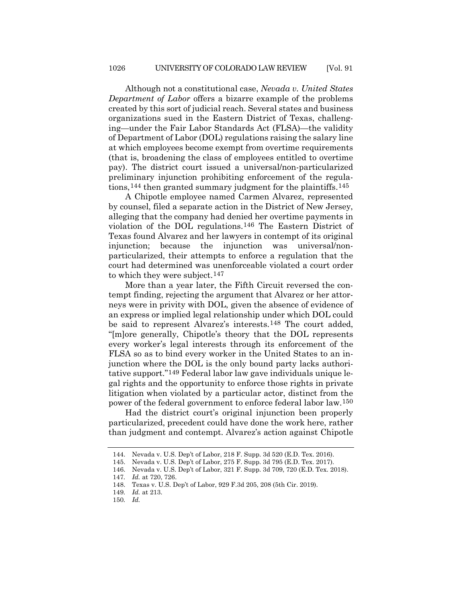Although not a constitutional case, *Nevada v. United States Department of Labor* offers a bizarre example of the problems created by this sort of judicial reach. Several states and business organizations sued in the Eastern District of Texas, challenging—under the Fair Labor Standards Act (FLSA)—the validity of Department of Labor (DOL) regulations raising the salary line at which employees become exempt from overtime requirements (that is, broadening the class of employees entitled to overtime pay). The district court issued a universal/non-particularized preliminary injunction prohibiting enforcement of the regula-tions,<sup>[144](#page-27-0)</sup> then granted summary judgment for the plaintiffs.<sup>145</sup>

A Chipotle employee named Carmen Alvarez, represented by counsel, filed a separate action in the District of New Jersey, alleging that the company had denied her overtime payments in violation of the DOL regulations.[146](#page-27-2) The Eastern District of Texas found Alvarez and her lawyers in contempt of its original injunction; because the injunction was universal/nonparticularized, their attempts to enforce a regulation that the court had determined was unenforceable violated a court order to which they were subject.[147](#page-27-3)

More than a year later, the Fifth Circuit reversed the contempt finding, rejecting the argument that Alvarez or her attorneys were in privity with DOL, given the absence of evidence of an express or implied legal relationship under which DOL could be said to represent Alvarez's interests.[148](#page-27-4) The court added, "[m]ore generally, Chipotle's theory that the DOL represents every worker's legal interests through its enforcement of the FLSA so as to bind every worker in the United States to an injunction where the DOL is the only bound party lacks authoritative support."[149](#page-27-5) Federal labor law gave individuals unique legal rights and the opportunity to enforce those rights in private litigation when violated by a particular actor, distinct from the power of the federal government to enforce federal labor law.[150](#page-27-6)

Had the district court's original injunction been properly particularized, precedent could have done the work here, rather than judgment and contempt. Alvarez's action against Chipotle

<span id="page-27-0"></span><sup>144.</sup> Nevada v. U.S. Dep't of Labor, 218 F. Supp. 3d 520 (E.D. Tex. 2016).

<sup>145.</sup> Nevada v. U.S. Dep't of Labor, 275 F. Supp. 3d 795 (E.D. Tex. 2017).

<span id="page-27-2"></span><span id="page-27-1"></span><sup>146.</sup> Nevada v. U.S. Dep't of Labor, 321 F. Supp. 3d 709, 720 (E.D. Tex. 2018).

<span id="page-27-3"></span><sup>147</sup>*. Id.* at 720, 726.

<span id="page-27-5"></span><span id="page-27-4"></span><sup>148.</sup> Texas v. U.S. Dep't of Labor, 929 F.3d 205, 208 (5th Cir. 2019).

<sup>149</sup>*. Id.* at 213.

<span id="page-27-6"></span><sup>150</sup>*. Id.*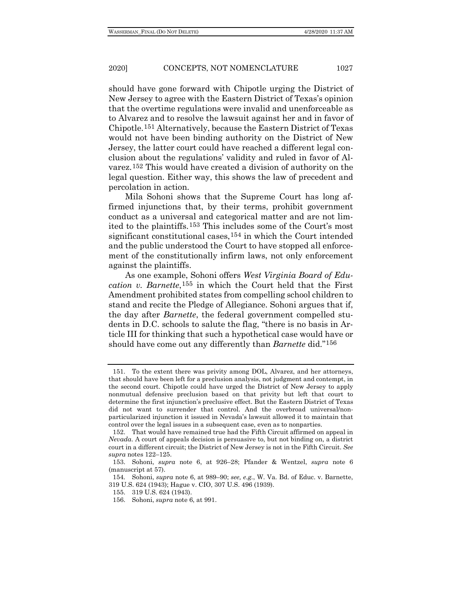should have gone forward with Chipotle urging the District of New Jersey to agree with the Eastern District of Texas's opinion that the overtime regulations were invalid and unenforceable as to Alvarez and to resolve the lawsuit against her and in favor of Chipotle.[151](#page-28-0) Alternatively, because the Eastern District of Texas would not have been binding authority on the District of New Jersey, the latter court could have reached a different legal conclusion about the regulations' validity and ruled in favor of Alvarez.[152](#page-28-1) This would have created a division of authority on the legal question. Either way, this shows the law of precedent and percolation in action.

Mila Sohoni shows that the Supreme Court has long affirmed injunctions that, by their terms, prohibit government conduct as a universal and categorical matter and are not limited to the plaintiffs.[153](#page-28-2) This includes some of the Court's most significant constitutional cases, <sup>[154](#page-28-3)</sup> in which the Court intended and the public understood the Court to have stopped all enforcement of the constitutionally infirm laws, not only enforcement against the plaintiffs.

As one example, Sohoni offers *West Virginia Board of Education v. Barnette*,[155](#page-28-4) in which the Court held that the First Amendment prohibited states from compelling school children to stand and recite the Pledge of Allegiance. Sohoni argues that if, the day after *Barnette*, the federal government compelled students in D.C. schools to salute the flag, "there is no basis in Article III for thinking that such a hypothetical case would have or should have come out any differently than *Barnette* did."[156](#page-28-5)

<span id="page-28-0"></span><sup>151.</sup> To the extent there was privity among DOL, Alvarez, and her attorneys, that should have been left for a preclusion analysis, not judgment and contempt, in the second court. Chipotle could have urged the District of New Jersey to apply nonmutual defensive preclusion based on that privity but left that court to determine the first injunction's preclusive effect. But the Eastern District of Texas did not want to surrender that control. And the overbroad universal/nonparticularized injunction it issued in Nevada's lawsuit allowed it to maintain that control over the legal issues in a subsequent case, even as to nonparties.

<span id="page-28-1"></span><sup>152.</sup> That would have remained true had the Fifth Circuit affirmed on appeal in *Nevada*. A court of appeals decision is persuasive to, but not binding on, a district court in a different circuit; the District of New Jersey is not in the Fifth Circuit. *See supra* notes 122–125.

<span id="page-28-2"></span><sup>153.</sup> Sohoni, *supra* note [6,](#page-1-7) at 926–28; Pfander & Wentzel, *supra* note [6](#page-1-7) (manuscript at 57).

<span id="page-28-5"></span><span id="page-28-4"></span><span id="page-28-3"></span><sup>154</sup>*.* Sohoni, *supra* note [6,](#page-1-7) at 989–90; *see, e.g.*, W. Va. Bd. of Educ. v. Barnette, 319 U.S. 624 (1943); Hague v. CIO, 307 U.S. 496 (1939).

<sup>155.</sup> 319 U.S. 624 (1943).

<sup>156.</sup> Sohoni, *supra* note [6,](#page-1-7) at 991.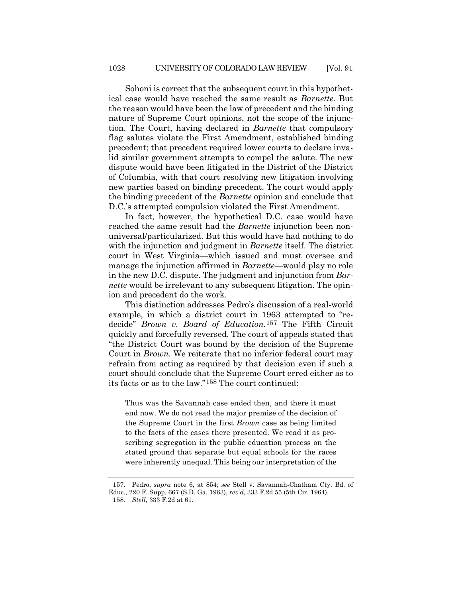Sohoni is correct that the subsequent court in this hypothetical case would have reached the same result as *Barnette*. But the reason would have been the law of precedent and the binding nature of Supreme Court opinions, not the scope of the injunction. The Court, having declared in *Barnette* that compulsory flag salutes violate the First Amendment, established binding precedent; that precedent required lower courts to declare invalid similar government attempts to compel the salute. The new dispute would have been litigated in the District of the District of Columbia, with that court resolving new litigation involving new parties based on binding precedent. The court would apply the binding precedent of the *Barnette* opinion and conclude that D.C.'s attempted compulsion violated the First Amendment.

In fact, however, the hypothetical D.C. case would have reached the same result had the *Barnette* injunction been nonuniversal/particularized. But this would have had nothing to do with the injunction and judgment in *Barnette* itself. The district court in West Virginia—which issued and must oversee and manage the injunction affirmed in *Barnette*—would play no role in the new D.C. dispute. The judgment and injunction from *Barnette* would be irrelevant to any subsequent litigation. The opinion and precedent do the work.

This distinction addresses Pedro's discussion of a real-world example, in which a district court in 1963 attempted to "redecide" *Brown v. Board of Education*.[157](#page-29-0) The Fifth Circuit quickly and forcefully reversed. The court of appeals stated that "the District Court was bound by the decision of the Supreme Court in *Brown*. We reiterate that no inferior federal court may refrain from acting as required by that decision even if such a court should conclude that the Supreme Court erred either as to its facts or as to the law."[158](#page-29-1) The court continued:

Thus was the Savannah case ended then, and there it must end now. We do not read the major premise of the decision of the Supreme Court in the first *Brown* case as being limited to the facts of the cases there presented. We read it as proscribing segregation in the public education process on the stated ground that separate but equal schools for the races were inherently unequal. This being our interpretation of the

<span id="page-29-1"></span><span id="page-29-0"></span><sup>157.</sup> Pedro, *supra* note [6,](#page-1-7) at 854; *see* Stell v. Savannah-Chatham Cty. Bd. of Educ., 220 F. Supp. 667 (S.D. Ga. 1963), *rev'd*, 333 F.2d 55 (5th Cir. 1964). 158*. Stell*, 333 F.2d at 61.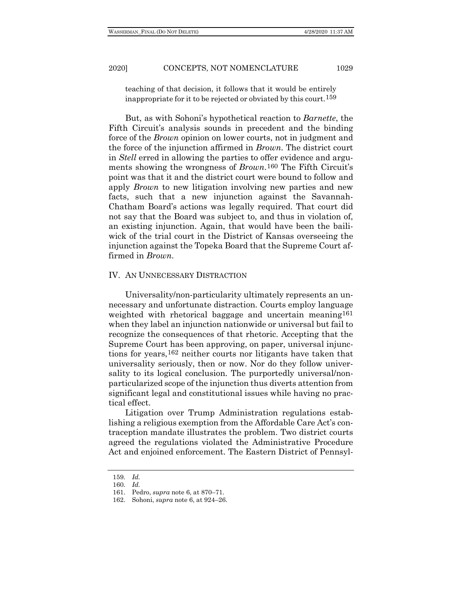teaching of that decision, it follows that it would be entirely inappropriate for it to be rejected or obviated by this court.[159](#page-30-0)

But, as with Sohoni's hypothetical reaction to *Barnette*, the Fifth Circuit's analysis sounds in precedent and the binding force of the *Brown* opinion on lower courts, not in judgment and the force of the injunction affirmed in *Brown*. The district court in *Stell* erred in allowing the parties to offer evidence and arguments showing the wrongness of *Brown*.[160](#page-30-1) The Fifth Circuit's point was that it and the district court were bound to follow and apply *Brown* to new litigation involving new parties and new facts, such that a new injunction against the Savannah-Chatham Board's actions was legally required. That court did not say that the Board was subject to, and thus in violation of, an existing injunction. Again, that would have been the bailiwick of the trial court in the District of Kansas overseeing the injunction against the Topeka Board that the Supreme Court affirmed in *Brown*.

#### IV. AN UNNECESSARY DISTRACTION

Universality/non-particularity ultimately represents an unnecessary and unfortunate distraction. Courts employ language weighted with rhetorical baggage and uncertain meaning<sup>[161](#page-30-2)</sup> when they label an injunction nationwide or universal but fail to recognize the consequences of that rhetoric. Accepting that the Supreme Court has been approving, on paper, universal injunctions for years,[162](#page-30-3) neither courts nor litigants have taken that universality seriously, then or now. Nor do they follow universality to its logical conclusion. The purportedly universal/nonparticularized scope of the injunction thus diverts attention from significant legal and constitutional issues while having no practical effect.

Litigation over Trump Administration regulations establishing a religious exemption from the Affordable Care Act's contraception mandate illustrates the problem. Two district courts agreed the regulations violated the Administrative Procedure Act and enjoined enforcement. The Eastern District of Pennsyl-

<span id="page-30-0"></span><sup>159</sup>*. Id.*

<span id="page-30-1"></span><sup>160</sup>*. Id.*

<span id="page-30-2"></span><sup>161.</sup> Pedro, *supra* note [6,](#page-1-7) at 870–71.

<span id="page-30-3"></span><sup>162.</sup> Sohoni, *supra* note [6,](#page-1-7) at 924–26.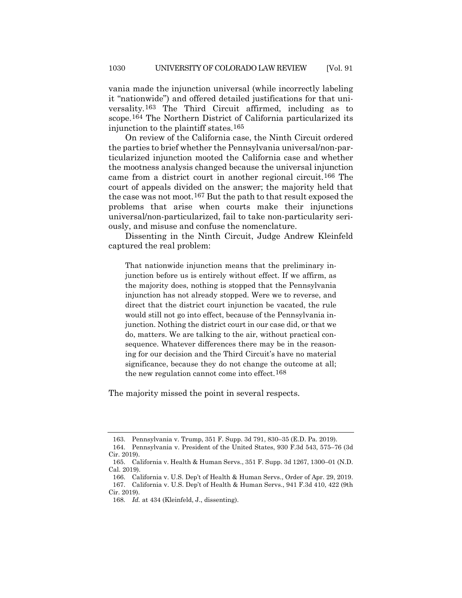vania made the injunction universal (while incorrectly labeling it "nationwide") and offered detailed justifications for that universality.[163](#page-31-0) The Third Circuit affirmed, including as to scope.[164](#page-31-1) The Northern District of California particularized its injunction to the plaintiff states.[165](#page-31-2)

On review of the California case, the Ninth Circuit ordered the parties to brief whether the Pennsylvania universal/non-particularized injunction mooted the California case and whether the mootness analysis changed because the universal injunction came from a district court in another regional circuit[.166](#page-31-3) The court of appeals divided on the answer; the majority held that the case was not moot.[167](#page-31-4) But the path to that result exposed the problems that arise when courts make their injunctions universal/non-particularized, fail to take non-particularity seriously, and misuse and confuse the nomenclature.

Dissenting in the Ninth Circuit, Judge Andrew Kleinfeld captured the real problem:

That nationwide injunction means that the preliminary injunction before us is entirely without effect. If we affirm, as the majority does, nothing is stopped that the Pennsylvania injunction has not already stopped. Were we to reverse, and direct that the district court injunction be vacated, the rule would still not go into effect, because of the Pennsylvania injunction. Nothing the district court in our case did, or that we do, matters. We are talking to the air, without practical consequence. Whatever differences there may be in the reasoning for our decision and the Third Circuit's have no material significance, because they do not change the outcome at all; the new regulation cannot come into effect.[168](#page-31-5)

The majority missed the point in several respects.

<sup>163.</sup> Pennsylvania v. Trump, 351 F. Supp. 3d 791, 830–35 (E.D. Pa. 2019).

<span id="page-31-1"></span><span id="page-31-0"></span><sup>164.</sup> Pennsylvania v. President of the United States, 930 F.3d 543, 575–76 (3d Cir. 2019).

<span id="page-31-2"></span><sup>165.</sup> California v. Health & Human Servs., 351 F. Supp. 3d 1267, 1300–01 (N.D. Cal. 2019).

<span id="page-31-5"></span><span id="page-31-4"></span><span id="page-31-3"></span><sup>166.</sup> California v. U.S. Dep't of Health & Human Servs., Order of Apr. 29, 2019. 167. California v. U.S. Dep't of Health & Human Servs., 941 F.3d 410, 422 (9th Cir. 2019).

<sup>168</sup>*. Id.* at 434 (Kleinfeld, J., dissenting).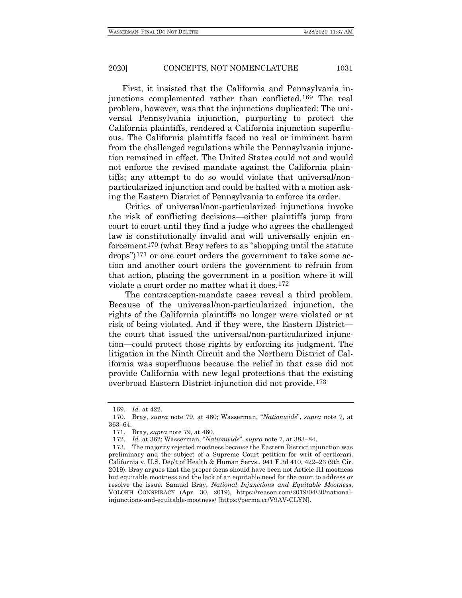First, it insisted that the California and Pennsylvania injunctions complemented rather than conflicted[.169](#page-32-0) The real problem, however, was that the injunctions duplicated: The universal Pennsylvania injunction, purporting to protect the California plaintiffs, rendered a California injunction superfluous. The California plaintiffs faced no real or imminent harm from the challenged regulations while the Pennsylvania injunction remained in effect. The United States could not and would not enforce the revised mandate against the California plaintiffs; any attempt to do so would violate that universal/nonparticularized injunction and could be halted with a motion asking the Eastern District of Pennsylvania to enforce its order.

Critics of universal/non-particularized injunctions invoke the risk of conflicting decisions—either plaintiffs jump from court to court until they find a judge who agrees the challenged law is constitutionally invalid and will universally enjoin enforcement[170](#page-32-1) (what Bray refers to as "shopping until the statute drops")[171](#page-32-2) or one court orders the government to take some action and another court orders the government to refrain from that action, placing the government in a position where it will violate a court order no matter what it does.[172](#page-32-3)

The contraception-mandate cases reveal a third problem. Because of the universal/non-particularized injunction, the rights of the California plaintiffs no longer were violated or at risk of being violated. And if they were, the Eastern District the court that issued the universal/non-particularized injunction—could protect those rights by enforcing its judgment. The litigation in the Ninth Circuit and the Northern District of California was superfluous because the relief in that case did not provide California with new legal protections that the existing overbroad Eastern District injunction did not provide.[173](#page-32-4)

<sup>169</sup>*. Id.* at 422.

<span id="page-32-1"></span><span id="page-32-0"></span><sup>170.</sup> Bray, *supra* note [79,](#page-14-0) at 460; Wasserman, "*Nationwide*", *supra* note [7,](#page-1-0) at 363–64.

<sup>171.</sup> Bray, *supra* note [79,](#page-14-0) at 460.

<sup>172</sup>*. Id.* at 362; Wasserman, "*Nationwide*", *supra* note [7,](#page-1-0) at 383–84.

<span id="page-32-4"></span><span id="page-32-3"></span><span id="page-32-2"></span><sup>173.</sup> The majority rejected mootness because the Eastern District injunction was preliminary and the subject of a Supreme Court petition for writ of certiorari. California v. U.S. Dep't of Health & Human Servs., 941 F.3d 410, 422–23 (9th Cir. 2019). Bray argues that the proper focus should have been not Article III mootness but equitable mootness and the lack of an equitable need for the court to address or resolve the issue. Samuel Bray, *National Injunctions and Equitable Mootness*, VOLOKH CONSPIRACY (Apr. 30, 2019), https://reason.com/2019/04/30/nationalinjunctions-and-equitable-mootness/ [https://perma.cc/V9AV-CLYN].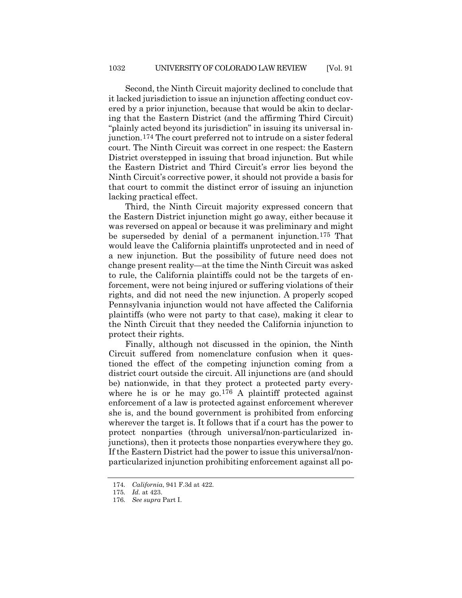Second, the Ninth Circuit majority declined to conclude that it lacked jurisdiction to issue an injunction affecting conduct covered by a prior injunction, because that would be akin to declaring that the Eastern District (and the affirming Third Circuit) "plainly acted beyond its jurisdiction" in issuing its universal injunction.[174](#page-33-0) The court preferred not to intrude on a sister federal court. The Ninth Circuit was correct in one respect: the Eastern District overstepped in issuing that broad injunction. But while the Eastern District and Third Circuit's error lies beyond the Ninth Circuit's corrective power, it should not provide a basis for that court to commit the distinct error of issuing an injunction lacking practical effect.

Third, the Ninth Circuit majority expressed concern that the Eastern District injunction might go away, either because it was reversed on appeal or because it was preliminary and might be superseded by denial of a permanent injunction.[175](#page-33-1) That would leave the California plaintiffs unprotected and in need of a new injunction. But the possibility of future need does not change present reality—at the time the Ninth Circuit was asked to rule, the California plaintiffs could not be the targets of enforcement, were not being injured or suffering violations of their rights, and did not need the new injunction. A properly scoped Pennsylvania injunction would not have affected the California plaintiffs (who were not party to that case), making it clear to the Ninth Circuit that they needed the California injunction to protect their rights.

Finally, although not discussed in the opinion, the Ninth Circuit suffered from nomenclature confusion when it questioned the effect of the competing injunction coming from a district court outside the circuit. All injunctions are (and should be) nationwide, in that they protect a protected party every-where he is or he may go.<sup>[176](#page-33-2)</sup> A plaintiff protected against enforcement of a law is protected against enforcement wherever she is, and the bound government is prohibited from enforcing wherever the target is. It follows that if a court has the power to protect nonparties (through universal/non-particularized injunctions), then it protects those nonparties everywhere they go. If the Eastern District had the power to issue this universal/nonparticularized injunction prohibiting enforcement against all po-

<span id="page-33-0"></span><sup>174</sup>*. California*, 941 F.3d at 422.

<span id="page-33-1"></span><sup>175</sup>*. Id.* at 423.

<span id="page-33-2"></span><sup>176</sup>*. See supra* Part I.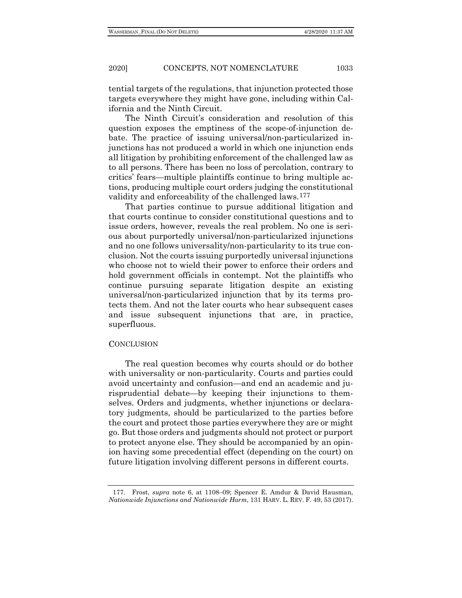tential targets of the regulations, that injunction protected those targets everywhere they might have gone, including within California and the Ninth Circuit.

The Ninth Circuit's consideration and resolution of this question exposes the emptiness of the scope-of-injunction debate. The practice of issuing universal/non-particularized injunctions has not produced a world in which one injunction ends all litigation by prohibiting enforcement of the challenged law as to all persons. There has been no loss of percolation, contrary to critics' fears—multiple plaintiffs continue to bring multiple actions, producing multiple court orders judging the constitutional validity and enforceability of the challenged laws.[177](#page-34-0)

That parties continue to pursue additional litigation and that courts continue to consider constitutional questions and to issue orders, however, reveals the real problem. No one is serious about purportedly universal/non-particularized injunctions and no one follows universality/non-particularity to its true conclusion. Not the courts issuing purportedly universal injunctions who choose not to wield their power to enforce their orders and hold government officials in contempt. Not the plaintiffs who continue pursuing separate litigation despite an existing universal/non-particularized injunction that by its terms protects them. And not the later courts who hear subsequent cases and issue subsequent injunctions that are, in practice, superfluous.

#### **CONCLUSION**

The real question becomes why courts should or do bother with universality or non-particularity. Courts and parties could avoid uncertainty and confusion—and end an academic and jurisprudential debate—by keeping their injunctions to themselves. Orders and judgments, whether injunctions or declaratory judgments, should be particularized to the parties before the court and protect those parties everywhere they are or might go. But those orders and judgments should not protect or purport to protect anyone else. They should be accompanied by an opinion having some precedential effect (depending on the court) on future litigation involving different persons in different courts.

<span id="page-34-0"></span><sup>177.</sup> Frost, *supra* note [6,](#page-1-7) at 1108–09; Spencer E. Amdur & David Hausman, *Nationwide Injunctions and Nationwide Harm*, 131 HARV. L. REV. F. 49, 53 (2017).